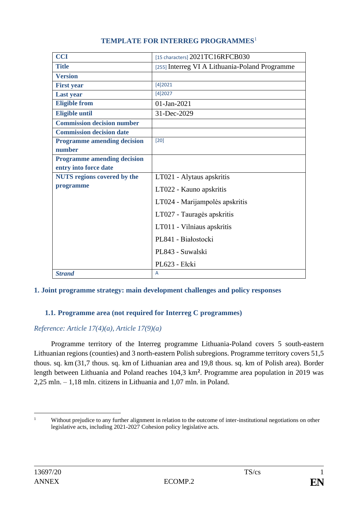| <b>CCI</b>                         | [15 characters] $2021$ TC16RFCB030             |
|------------------------------------|------------------------------------------------|
| <b>Title</b>                       | [255] Interreg VI A Lithuania-Poland Programme |
| <b>Version</b>                     |                                                |
| <b>First year</b>                  | [4]2021                                        |
| <b>Last year</b>                   | [4]2027                                        |
| <b>Eligible from</b>               | 01-Jan-2021                                    |
| <b>Eligible until</b>              | 31-Dec-2029                                    |
| <b>Commission decision number</b>  |                                                |
| <b>Commission decision date</b>    |                                                |
| <b>Programme amending decision</b> | [20]                                           |
| number                             |                                                |
| <b>Programme amending decision</b> |                                                |
| entry into force date              |                                                |
| <b>NUTS</b> regions covered by the | LT021 - Alytaus apskritis                      |
| programme                          | LT022 - Kauno apskritis                        |
|                                    | LT024 - Marijampolės apskritis                 |
|                                    | LT027 - Tauragės apskritis                     |
|                                    | LT011 - Vilniaus apskritis                     |
|                                    | PL841 - Białostocki                            |
|                                    | PL843 - Suwalski                               |
|                                    | PL623 - Ełcki                                  |
| <b>Strand</b>                      | A                                              |

# **TEMPLATE FOR INTERREG PROGRAMMES**<sup>1</sup>

# **1. Joint programme strategy: main development challenges and policy responses**

# **1.1. Programme area (not required for Interreg C programmes)**

# *Reference: Article 17(4)(a), Article 17(9)(a)*

Programme territory of the Interreg programme Lithuania-Poland covers 5 south-eastern Lithuanian regions (counties) and 3 north-eastern Polish subregions. Programme territory covers 51,5 thous. sq. km (31,7 thous. sq. km of Lithuanian area and 19,8 thous. sq. km of Polish area). Border length between Lithuania and Poland reaches 104,3 km**<sup>2</sup>** . Programme area population in 2019 was 2,25 mln. – 1,18 mln. citizens in Lithuania and 1,07 mln. in Poland.

<sup>&</sup>lt;sup>1</sup> Without prejudice to any further alignment in relation to the outcome of inter-institutional negotiations on other legislative acts, including 2021-2027 Cohesion policy legislative acts.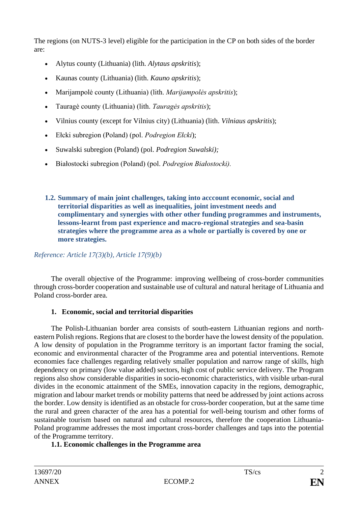The regions (on NUTS-3 level) eligible for the participation in the CP on both sides of the border are:

- Alytus county (Lithuania) (lith. *Alytaus apskritis*);
- Kaunas county (Lithuania) (lith. *Kauno apskritis*);
- Marijampolė county (Lithuania) (lith. *Marijampolės apskritis*);
- Tauragė county (Lithuania) (lith. *Tauragės apskritis*);
- Vilnius county (except for Vilnius city) (Lithuania) (lith. *Vilniaus apskritis*);
- Ełcki subregion (Poland) (pol. *Podregion Ełcki*);
- Suwalski subregion (Poland) (pol. *Podregion Suwalski);*
- Białostocki subregion (Poland) (pol. *Podregion Białostocki).*
- **1.2. Summary of main joint challenges, taking into acccount economic, social and territorial disparities as well as inequalities, joint investment needs and complimentary and synergies with other other funding programmes and instruments, lessons-learnt from past experience and macro-regional strategies and sea-basin strategies where the programme area as a whole or partially is covered by one or more strategies.**

# *Reference: Article 17(3)(b), Article 17(9)(b)*

The overall objective of the Programme: improving wellbeing of cross-border communities through cross-border cooperation and sustainable use of cultural and natural heritage of Lithuania and Poland cross-border area.

# **1. Economic, social and territorial disparities**

The Polish-Lithuanian border area consists of south-eastern Lithuanian regions and northeastern Polish regions. Regions that are closest to the border have the lowest density of the population. A low density of population in the Programme territory is an important factor framing the social, economic and environmental character of the Programme area and potential interventions. Remote economies face challenges regarding relatively smaller population and narrow range of skills, high dependency on primary (low value added) sectors, high cost of public service delivery. The Program regions also show considerable disparities in socio-economic characteristics, with visible urban-rural divides in the economic attainment of the SMEs, innovation capacity in the regions, demographic, migration and labour market trends or mobility patterns that need be addressed by joint actions across the border. Low density is identified as an obstacle for cross-border cooperation, but at the same time the rural and green character of the area has a potential for well-being tourism and other forms of sustainable tourism based on natural and cultural resources, therefore the cooperation Lithuania-Poland programme addresses the most important cross-border challenges and taps into the potential of the Programme territory.

# **1.1. Economic challenges in the Programme area**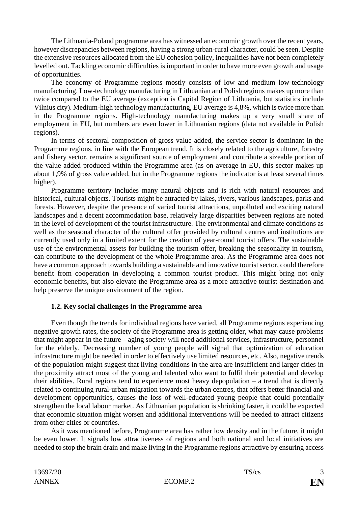The Lithuania-Poland programme area has witnessed an economic growth over the recent years, however discrepancies between regions, having a strong urban-rural character, could be seen. Despite the extensive resources allocated from the EU cohesion policy, inequalities have not been completely levelled out. Tackling economic difficulties is important in order to have more even growth and usage of opportunities.

The economy of Programme regions mostly consists of low and medium low-technology manufacturing. Low-technology manufacturing in Lithuanian and Polish regions makes up more than twice compared to the EU average (exception is Capital Region of Lithuania, but statistics include Vilnius city). Medium-high technology manufacturing, EU average is 4,8%, which is twice more than in the Programme regions. High-technology manufacturing makes up a very small share of employment in EU, but numbers are even lower in Lithuanian regions (data not available in Polish regions).

In terms of sectoral composition of gross value added, the service sector is dominant in the Programme regions, in line with the European trend. It is closely related to the agriculture, forestry and fishery sector, remains a significant source of employment and contribute a sizeable portion of the value added produced within the Programme area (as on average in EU, this sector makes up about 1,9% of gross value added, but in the Programme regions the indicator is at least several times higher).

Programme territory includes many natural objects and is rich with natural resources and historical, cultural objects. Tourists might be attracted by lakes, rivers, various landscapes, parks and forests. However, despite the presence of varied tourist attractions, unpolluted and exciting natural landscapes and a decent accommodation base, relatively large disparities between regions are noted in the level of development of the tourist infrastructure. The environmental and climate conditions as well as the seasonal character of the cultural offer provided by cultural centres and institutions are currently used only in a limited extent for the creation of year-round tourist offers. The sustainable use of the environmental assets for building the tourism offer, breaking the seasonality in tourism, can contribute to the development of the whole Programme area. As the Programme area does not have a common approach towards building a sustainable and innovative tourist sector, could therefore benefit from cooperation in developing a common tourist product. This might bring not only economic benefits, but also elevate the Programme area as a more attractive tourist destination and help preserve the unique environment of the region.

# **1.2. Key social challenges in the Programme area**

Even though the trends for individual regions have varied, all Programme regions experiencing negative growth rates, the society of the Programme area is getting older, what may cause problems that might appear in the future – aging society will need additional services, infrastructure, personnel for the elderly. Decreasing number of young people will signal that optimization of education infrastructure might be needed in order to effectively use limited resources, etc. Also, negative trends of the population might suggest that living conditions in the area are insufficient and larger cities in the proximity attract most of the young and talented who want to fulfil their potential and develop their abilities. Rural regions tend to experience most heavy depopulation – a trend that is directly related to continuing rural-urban migration towards the urban centres, that offers better financial and development opportunities, causes the loss of well-educated young people that could potentially strengthen the local labour market. As Lithuanian population is shrinking faster, it could be expected that economic situation might worsen and additional interventions will be needed to attract citizens from other cities or countries.

As it was mentioned before, Programme area has rather low density and in the future, it might be even lower. It signals low attractiveness of regions and both national and local initiatives are needed to stop the brain drain and make living in the Programme regions attractive by ensuring access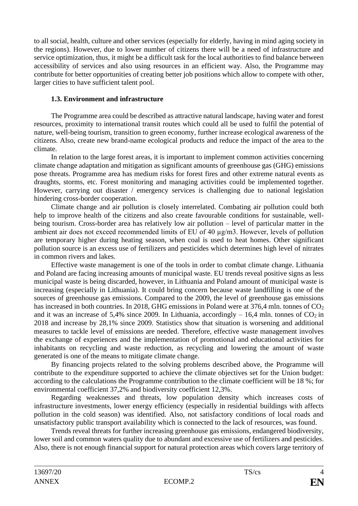to all social, health, culture and other services (especially for elderly, having in mind aging society in the regions). However, due to lower number of citizens there will be a need of infrastructure and service optimization, thus, it might be a difficult task for the local authorities to find balance between accessibility of services and also using resources in an efficient way. Also, the Programme may contribute for better opportunities of creating better job positions which allow to compete with other, larger cities to have sufficient talent pool.

# **1.3. Environment and infrastructure**

The Programme area could be described as attractive natural landscape, having water and forest resources, proximity to international transit routes which could all be used to fulfil the potential of nature, well-being tourism, transition to green economy, further increase ecological awareness of the citizens. Also, create new brand-name ecological products and reduce the impact of the area to the climate.

In relation to the large forest areas, it is important to implement common activities concerning climate change adaptation and mitigation as significant amounts of greenhouse gas (GHG) emissions pose threats. Programme area has medium risks for forest fires and other extreme natural events as draughts, storms, etc. Forest monitoring and managing activities could be implemented together. However, carrying out disaster / emergency services is challenging due to national legislation hindering cross-border cooperation.

Climate change and air pollution is closely interrelated. Combating air pollution could both help to improve health of the citizens and also create favourable conditions for sustainable, wellbeing tourism. Cross-border area has relatively low air pollution – level of particular matter in the ambient air does not exceed recommended limits of EU of 40 µg/m3. However, levels of pollution are temporary higher during heating season, when coal is used to heat homes. Other significant pollution source is an excess use of fertilizers and pesticides which determines high level of nitrates in common rivers and lakes.

Effective waste management is one of the tools in order to combat climate change. Lithuania and Poland are facing increasing amounts of municipal waste. EU trends reveal positive signs as less municipal waste is being discarded, however, in Lithuania and Poland amount of municipal waste is increasing (especially in Lithuania). It could bring concern because waste landfilling is one of the sources of greenhouse gas emissions. Compared to the 2009, the level of greenhouse gas emissions has increased in both countries. In 2018, GHG emissions in Poland were at 376.4 mln. tonnes of  $CO<sub>2</sub>$ and it was an increase of 5,4% since 2009. In Lithuania, accordingly  $-16,4$  mln. tonnes of  $CO<sub>2</sub>$  in 2018 and increase by 28,1% since 2009. Statistics show that situation is worsening and additional measures to tackle level of emissions are needed. Therefore, effective waste management involves the exchange of experiences and the implementation of promotional and educational activities for inhabitants on recycling and waste reduction, as recycling and lowering the amount of waste generated is one of the means to mitigate climate change.

By financing projects related to the solving problems described above, the Programme will contribute to the expenditure supported to achieve the climate objectives set for the Union budget: according to the calculations the Programme contribution to the climate coefficient will be 18 %; for environmental coefficient 37,2% and biodiversity coefficient 12,3%.

Regarding weaknesses and threats, low population density which increases costs of infrastructure investments, lower energy efficiency (especially in residential buildings with affects pollution in the cold season) was identified. Also, not satisfactory conditions of local roads and unsatisfactory public transport availability which is connected to the lack of resources, was found.

Trends reveal threats for further increasing greenhouse gas emissions, endangered biodiversity, lower soil and common waters quality due to abundant and excessive use of fertilizers and pesticides. Also, there is not enough financial support for natural protection areas which covers large territory of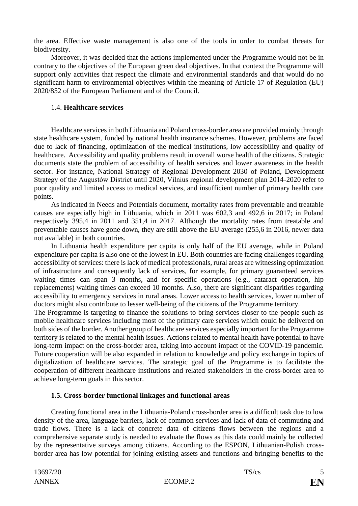the area. Effective waste management is also one of the tools in order to combat threats for biodiversity.

Moreover, it was decided that the actions implemented under the Programme would not be in contrary to the objectives of the European green deal objectives. In that context the Programme will support only activities that respect the climate and environmental standards and that would do no significant harm to environmental objectives within the meaning of Article 17 of Regulation (EU) 2020/852 of the European Parliament and of the Council.

## 1.4. **Healthcare services**

Healthcare services in both Lithuania and Poland cross-border area are provided mainly through state healthcare system, funded by national health insurance schemes. However, problems are faced due to lack of financing, optimization of the medical institutions, low accessibility and quality of healthcare. Accessibility and quality problems result in overall worse health of the citizens. Strategic documents state the problem of accessibility of health services and lower awareness in the health sector. For instance, National Strategy of Regional Development 2030 of Poland, Development Strategy of the Augustów District until 2020, Vilnius regional development plan 2014-2020 refer to poor quality and limited access to medical services, and insufficient number of primary health care points.

As indicated in Needs and Potentials document, mortality rates from preventable and treatable causes are especially high in Lithuania, which in 2011 was 602,3 and 492,6 in 2017; in Poland respectively 395,4 in 2011 and 351,4 in 2017. Although the mortality rates from treatable and preventable causes have gone down, they are still above the EU average (255,6 in 2016, newer data not available) in both countries.

In Lithuania health expenditure per capita is only half of the EU average, while in Poland expenditure per capita is also one of the lowest in EU. Both countries are facing challenges regarding accessibility of services: there is lack of medical professionals, rural areas are witnessing optimization of infrastructure and consequently lack of services, for example, for primary guaranteed services waiting times can span 3 months, and for specific operations (e.g., cataract operation, hip replacements) waiting times can exceed 10 months. Also, there are significant disparities regarding accessibility to emergency services in rural areas. Lower access to health services, lower number of doctors might also contribute to lesser well-being of the citizens of the Programme territory.

The Programme is targeting to finance the solutions to bring services closer to the people such as mobile healthcare services including most of the primary care services which could be delivered on both sides of the border. Another group of healthcare services especially important for the Programme territory is related to the mental health issues. Actions related to mental health have potential to have long-term impact on the cross-border area, taking into account impact of the COVID-19 pandemic. Future cooperation will be also expanded in relation to knowledge and policy exchange in topics of digitalization of healthcare services. The strategic goal of the Programme is to facilitate the cooperation of different healthcare institutions and related stakeholders in the cross-border area to achieve long-term goals in this sector.

# **1.5. Cross-border functional linkages and functional areas**

Creating functional area in the Lithuania-Poland cross-border area is a difficult task due to low density of the area, language barriers, lack of common services and lack of data of commuting and trade flows. There is a lack of concrete data of citizens flows between the regions and a comprehensive separate study is needed to evaluate the flows as this data could mainly be collected by the representative surveys among citizens. According to the ESPON, Lithuanian-Polish crossborder area has low potential for joining existing assets and functions and bringing benefits to the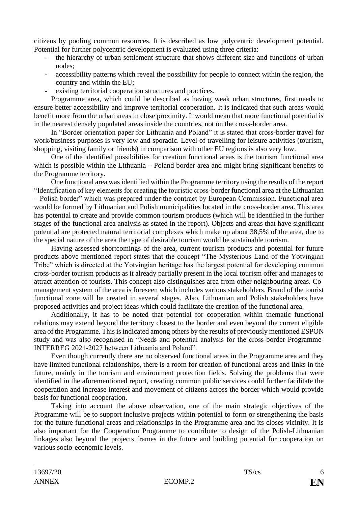citizens by pooling common resources. It is described as low polycentric development potential. Potential for further polycentric development is evaluated using three criteria:

- the hierarchy of urban settlement structure that shows different size and functions of urban nodes;
- accessibility patterns which reveal the possibility for people to connect within the region, the country and within the EU;
- existing territorial cooperation structures and practices.

Programme area, which could be described as having weak urban structures, first needs to ensure better accessibility and improve territorial cooperation. It is indicated that such areas would benefit more from the urban areas in close proximity. It would mean that more functional potential is in the nearest densely populated areas inside the countries, not on the cross-border area.

In "Border orientation paper for Lithuania and Poland" it is stated that cross-border travel for work/business purposes is very low and sporadic. Level of travelling for leisure activities (tourism, shopping, visiting family or friends) in comparison with other EU regions is also very low.

One of the identified possibilities for creation functional areas is the tourism functional area which is possible within the Lithuania – Poland border area and might bring significant benefits to the Programme territory.

One functional area was identified within the Programme territory using the results of the report "Identification of key elements for creating the touristic cross-border functional area at the Lithuanian – Polish border" which was prepared under the contract by European Commission. Functional area would be formed by Lithuanian and Polish municipalities located in the cross-border area. This area has potential to create and provide common tourism products (which will be identified in the further stages of the functional area analysis as stated in the report). Objects and areas that have significant potential are protected natural territorial complexes which make up about 38,5% of the area, due to the special nature of the area the type of desirable tourism would be sustainable tourism.

Having assessed shortcomings of the area, current tourism products and potential for future products above mentioned report states that the concept "The Mysterious Land of the Yotvingian Tribe" which is directed at the Yotvingian heritage has the largest potential for developing common cross-border tourism products as it already partially present in the local tourism offer and manages to attract attention of tourists. This concept also distinguishes area from other neighbouring areas. Comanagement system of the area is foreseen which includes various stakeholders. Brand of the tourist functional zone will be created in several stages. Also, Lithuanian and Polish stakeholders have proposed activities and project ideas which could facilitate the creation of the functional area.

Additionally, it has to be noted that potential for cooperation within thematic functional relations may extend beyond the territory closest to the border and even beyond the current eligible area of the Programme. This is indicated among others by the results of previously mentioned ESPON study and was also recognised in "Needs and potential analysis for the cross-border Programme-INTERREG 2021-2027 between Lithuania and Poland".

Even though currently there are no observed functional areas in the Programme area and they have limited functional relationships, there is a room for creation of functional areas and links in the future, mainly in the tourism and environment protection fields. Solving the problems that were identified in the aforementioned report, creating common public services could further facilitate the cooperation and increase interest and movement of citizens across the border which would provide basis for functional cooperation.

Taking into account the above observation, one of the main strategic objectives of the Programme will be to support inclusive projects within potential to form or strengthening the basis for the future functional areas and relationships in the Programme area and its closes vicinity. It is also important for the Cooperation Programme to contribute to design of the Polish-Lithuanian linkages also beyond the projects frames in the future and building potential for cooperation on various socio-economic levels.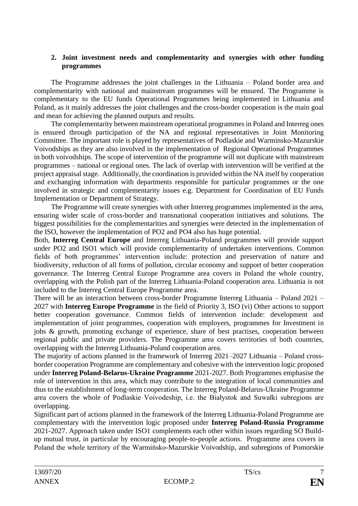## **2. Joint investment needs and complementarity and synergies with other funding programmes**

The Programme addresses the joint challenges in the Lithuania – Poland border area and complementarity with national and mainstream programmes will be ensured. The Programme is complementary to the EU funds Operational Programmes being implemented in Lithuania and Poland, as it mainly addresses the joint challenges and the cross-border cooperation is the main goal and mean for achieving the planned outputs and results.

The complementarity between mainstream operational programmes in Poland and Interreg ones is ensured through participation of the NA and regional representatives in Joint Monitoring Committee. The important role is played by representatives of Podlaskie and Warminsko-Mazurskie Voivodships as they are also involved in the implementation of Regional Operational Programmes in both voivodships. The scope of intervention of the programme will not duplicate with mainstream programmes – national or regional ones. The lack of overlap with intervention will be verified at the project appraisal stage. Additionally, the coordination is provided within the NA itself by cooperation and exchanging information with departments responsible for particular programmes or the one involved in strategic and complementarity issues e.g. Department for Coordination of EU Funds Implementation or Department of Strategy.

The Programme will create synergies with other Interreg programmes implemented in the area, ensuring wider scale of cross-border and transnational cooperation initiatives and solutions. The biggest possibilities for the complementarities and synergies were detected in the implementation of the ISO, however the implementation of PO2 and PO4 also has huge potential.

Both, **Interreg Central Europe** and Interreg Lithuania-Poland programmes will provide support under PO2 and ISO1 which will provide complementarity of undertaken interventions. Common fields of both programmes' intervention include: protection and preservation of nature and biodiversity, reduction of all forms of pollution, circular economy and support of better cooperation governance. The Interreg Central Europe Programme area covers in Poland the whole country, overlapping with the Polish part of the Interreg Lithuania-Poland cooperation area. Lithuania is not included to the Interreg Central Europe Programme area.

There will be an interaction between cross-border Programme Interreg Lithuania – Poland 2021 – 2027 with **Interreg Europe Programme** in the field of Priority 3, ISO (vi) Other actions to support better cooperation governance. Common fields of intervention include: development and implementation of joint programmes, cooperation with employers, programmes for Investment in jobs & growth, promoting exchange of experience, share of best practises, cooperation between regional public and private providers. The Programme area covers territories of both countries, overlapping with the Interreg Lithuania-Poland cooperation area.

The majority of actions planned in the framework of Interreg 2021–2027 Lithuania – Poland crossborder cooperation Programme are complementary and cohesive with the intervention logic proposed under **Interreg Poland-Belarus-Ukraine Programme** 2021-2027. Both Programmes emphasise the role of intervention in this area, which may contribute to the integration of local communities and thus to the establishment of long-term cooperation. The Interreg Poland-Belarus-Ukraine Programme area covers the whole of Podlaskie Voivodeship, i.e. the Białystok and Suwałki subregions are overlapping.

Significant part of actions planned in the framework of the Interreg Lithuania-Poland Programme are complementary with the intervention logic proposed under **Interreg Poland-Russia Programme** 2021-2027. Approach taken under ISO1 complements each other within issues regarding SO Buildup mutual trust, in particular by encouraging people-to-people actions. Programme area covers in Poland the whole territory of the Warmińsko-Mazurskie Voivodship, and subregions of Pomorskie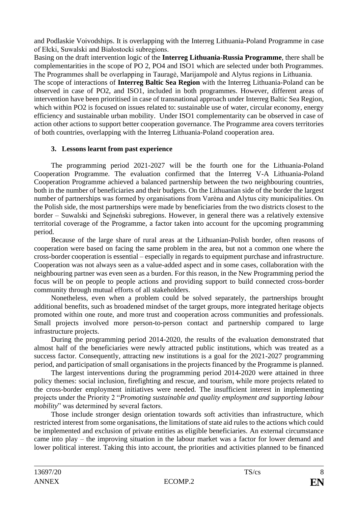and Podlaskie Voivodships. It is overlapping with the Interreg Lithuania-Poland Programme in case of Ełcki, Suwalski and Białostocki subregions.

Basing on the draft intervention logic of the **Interreg Lithuania-Russia Programme**, there shall be complementarities in the scope of PO 2, PO4 and ISO1 which are selected under both Programmes. The Programmes shall be overlapping in Tauragė, Marijampolė and Alytus regions in Lithuania.

The scope of interactions of **Interreg Baltic Sea Region** with the Interreg Lithuania-Poland can be observed in case of PO2, and ISO1, included in both programmes. However, different areas of intervention have been prioritised in case of transnational approach under Interreg Baltic Sea Region, which within PO2 is focused on issues related to: sustainable use of water, circular economy, energy efficiency and sustainable urban mobility. Under ISO1 complementarity can be observed in case of action other actions to support better cooperation governance. The Programme area covers territories of both countries, overlapping with the Interreg Lithuania-Poland cooperation area.

## **3. Lessons learnt from past experience**

The programming period 2021-2027 will be the fourth one for the Lithuania-Poland Cooperation Programme. The evaluation confirmed that the Interreg V-A Lithuania-Poland Cooperation Programme achieved a balanced partnership between the two neighbouring countries, both in the number of beneficiaries and their budgets. On the Lithuanian side of the border the largest number of partnerships was formed by organisations from Varėna and Alytus city municipalities. On the Polish side, the most partnerships were made by beneficiaries from the two districts closest to the border – Suwalski and Sejneński subregions. However, in general there was a relatively extensive territorial coverage of the Programme, a factor taken into account for the upcoming programming period.

Because of the large share of rural areas at the Lithuanian-Polish border, often reasons of cooperation were based on facing the same problem in the area, but not a common one where the cross-border cooperation is essential – especially in regards to equipment purchase and infrastructure. Cooperation was not always seen as a value-added aspect and in some cases, collaboration with the neighbouring partner was even seen as a burden. For this reason, in the New Programming period the focus will be on people to people actions and providing support to build connected cross-border community through mutual efforts of all stakeholders.

Nonetheless, even when a problem could be solved separately, the partnerships brought additional benefits, such as broadened mindset of the target groups, more integrated heritage objects promoted within one route, and more trust and cooperation across communities and professionals. Small projects involved more person-to-person contact and partnership compared to large infrastructure projects.

During the programming period 2014-2020, the results of the evaluation demonstrated that almost half of the beneficiaries were newly attracted public institutions, which was treated as a success factor. Consequently, attracting new institutions is a goal for the 2021-2027 programming period, and participation of small organisations in the projects financed by the Programme is planned.

The largest interventions during the programming period 2014-2020 were attained in three policy themes: social inclusion, firefighting and rescue, and tourism, while more projects related to the cross-border employment initiatives were needed. The insufficient interest in implementing projects under the Priority 2 "*Promoting sustainable and quality employment and supporting labour mobility*" was determined by several factors.

Those include stronger design orientation towards soft activities than infrastructure, which restricted interest from some organisations, the limitations of state aid rules to the actions which could be implemented and exclusion of private entities as eligible beneficiaries. An external circumstance came into play – the improving situation in the labour market was a factor for lower demand and lower political interest. Taking this into account, the priorities and activities planned to be financed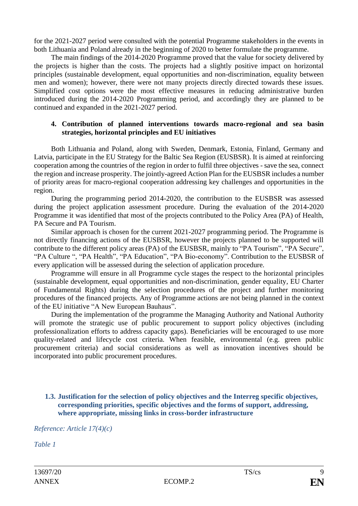for the 2021-2027 period were consulted with the potential Programme stakeholders in the events in both Lithuania and Poland already in the beginning of 2020 to better formulate the programme.

The main findings of the 2014-2020 Programme proved that the value for society delivered by the projects is higher than the costs. The projects had a slightly positive impact on horizontal principles (sustainable development, equal opportunities and non-discrimination, equality between men and women); however, there were not many projects directly directed towards these issues. Simplified cost options were the most effective measures in reducing administrative burden introduced during the 2014-2020 Programming period, and accordingly they are planned to be continued and expanded in the 2021-2027 period.

#### **4. Contribution of planned interventions towards macro-regional and sea basin strategies, horizontal principles and EU initiatives**

Both Lithuania and Poland, along with Sweden, Denmark, Estonia, Finland, Germany and Latvia, participate in the EU Strategy for the Baltic Sea Region (EUSBSR). It is aimed at reinforcing cooperation among the countries of the region in order to fulfil three objectives - save the sea, connect the region and increase prosperity. The jointly-agreed Action Plan for the EUSBSR includes a number of priority areas for macro-regional cooperation addressing key challenges and opportunities in the region.

During the programming period 2014-2020, the contribution to the EUSBSR was assessed during the project application assessment procedure. During the evaluation of the 2014-2020 Programme it was identified that most of the projects contributed to the Policy Area (PA) of Health, PA Secure and PA Tourism.

Similar approach is chosen for the current 2021-2027 programming period. The Programme is not directly financing actions of the EUSBSR, however the projects planned to be supported will contribute to the different policy areas (PA) of the EUSBSR, mainly to "PA Tourism", "PA Secure", "PA Culture ", "PA Health", "PA Education", "PA Bio-economy". Contribution to the EUSBSR of every application will be assessed during the selection of application procedure.

Programme will ensure in all Programme cycle stages the respect to the horizontal principles (sustainable development, equal opportunities and non-discrimination, gender equality, EU Charter of Fundamental Rights) during the selection procedures of the project and further monitoring procedures of the financed projects. Any of Programme actions are not being planned in the context of the EU initiative "A New European Bauhaus".

During the implementation of the programme the Managing Authority and National Authority will promote the strategic use of public procurement to support policy objectives (including professionalization efforts to address capacity gaps). Beneficiaries will be encouraged to use more quality-related and lifecycle cost criteria. When feasible, environmental (e.g. green public procurement criteria) and social considerations as well as innovation incentives should be incorporated into public procurement procedures.

## **1.3. Justification for the selection of policy objectives and the Interreg specific objectives, corresponding priorities, specific objectives and the forms of support, addressing, where appropriate, missing links in cross-border infrastructure**

*Reference: Article 17(4)(c)*

*Table 1*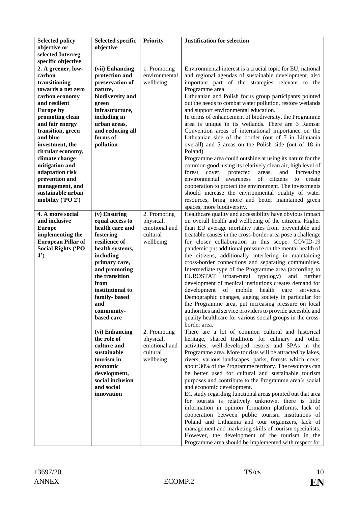| <b>Selected policy</b>    | <b>Selected specific</b>       | <b>Priority</b> | <b>Justification for selection</b>                                                                            |
|---------------------------|--------------------------------|-----------------|---------------------------------------------------------------------------------------------------------------|
| objective or              | objective                      |                 |                                                                                                               |
| selected Interreg-        |                                |                 |                                                                                                               |
| specific objective        |                                |                 |                                                                                                               |
| 2. A greener, low-        | (vii) Enhancing                | 1. Promoting    | Environmental interest is a crucial topic for EU, national                                                    |
| carbon                    | protection and                 | environmental   | and regional agendas of sustainable development, also                                                         |
| transitioning             | preservation of                | wellbeing       | important part of the strategies relevant to the                                                              |
| towards a net zero        | nature,                        |                 | Programme area.                                                                                               |
| carbon economy            | biodiversity and               |                 | Lithuanian and Polish focus group participants pointed                                                        |
| and resilient             | green                          |                 | out the needs to combat water pollution, restore wetlands                                                     |
| <b>Europe by</b>          | infrastructure,                |                 | and support environmental education.                                                                          |
| promoting clean           | including in                   |                 | In terms of enhancement of biodiversity, the Programme                                                        |
| and fair energy           | urban areas,                   |                 | area is unique in its wetlands. There are 3 Ramsar                                                            |
| transition, green         | and reducing all               |                 | Convention areas of international importance on the                                                           |
| and blue                  | forms of                       |                 | Lithuanian side of the border (out of 7 in Lithuania                                                          |
| investment, the           | pollution                      |                 | overall) and 5 areas on the Polish side (out of 18 in                                                         |
| circular economy,         |                                |                 | Poland).                                                                                                      |
| climate change            |                                |                 | Programme area could outshine at using its nature for the                                                     |
| mitigation and            |                                |                 | common good, using its relatively clean air, high level of                                                    |
| adaptation risk           |                                |                 | forest<br>cover,<br>protected<br>areas,<br>and<br>increasing                                                  |
| prevention and            |                                |                 | of<br>citizens<br>environmental<br>awareness<br>create<br>to                                                  |
| management, and           |                                |                 | cooperation to protect the environment. The investments                                                       |
| sustainable urban         |                                |                 | should increase the environmental quality of water                                                            |
| mobility ('PO 2')         |                                |                 | resources, bring more and better maintained green                                                             |
|                           |                                |                 | spaces, more biodiversity.                                                                                    |
| 4. A more social          | $(v)$ Ensuring                 | 2. Promoting    | Healthcare quality and accessibility have obvious impact                                                      |
| and inclusive             | equal access to                | physical,       | on overall health and wellbeing of the citizens. Higher                                                       |
| <b>Europe</b>             | health care and                | emotional and   | than EU average mortality rates from preventable and                                                          |
| implementing the          | fostering                      | cultural        | treatable causes in the cross-border area pose a challenge                                                    |
| <b>European Pillar of</b> | resilience of                  | wellbeing       | for closer collaboration in this scope. COVID-19                                                              |
| <b>Social Rights ('PO</b> | health systems,                |                 | pandemic put additional pressure on the mental health of                                                      |
| $4^{\circ}$               | including                      |                 | the citizens, additionally interfering in maintaining                                                         |
|                           | primary care,<br>and promoting |                 | cross-border connections and separating communities.<br>Intermediate type of the Programme area (according to |
|                           | the transition                 |                 | EUROSTAT urban-rural typology)<br>and<br>further                                                              |
|                           | from                           |                 | development of medical institutions creates demand for                                                        |
|                           | institutional to               |                 | of mobile health<br>development<br>care<br>services.                                                          |
|                           | family-based                   |                 | Demographic changes, ageing society in particular for                                                         |
|                           | and                            |                 | the Programme area, put increasing pressure on local                                                          |
|                           | community-                     |                 | authorities and service providers to provide accesible and                                                    |
|                           | based care                     |                 | quality healthcare for various social groups in the cross-                                                    |
|                           |                                |                 | border area.                                                                                                  |
|                           | (vi) Enhancing                 | 2. Promoting    | There are a lot of common cultural and historical                                                             |
|                           | the role of                    | physical,       | heritage, shared traditions for culinary and other                                                            |
|                           | culture and                    | emotional and   | activities, well-developed resorts and SPAs in the                                                            |
|                           | sustainable                    | cultural        | Programme area. More tourists will be attracted by lakes,                                                     |
|                           | tourism in                     | wellbeing       | rivers, various landscapes, parks, forests which cover                                                        |
|                           | economic                       |                 | about 30% of the Programme territory. The resources can                                                       |
|                           | development,                   |                 | be better used for cultural and sustainable tourism                                                           |
|                           | social inclusion               |                 | purposes and contribute to the Programme area's social                                                        |
|                           | and social                     |                 | and economic development.                                                                                     |
|                           | innovation                     |                 | EC study regarding functional areas pointed out that area                                                     |
|                           |                                |                 | for tourists is relatively unknown, there is little                                                           |
|                           |                                |                 | information in opinion formation platforms, lack of                                                           |
|                           |                                |                 | cooperation between public tourism institutions of                                                            |
|                           |                                |                 | Poland and Lithuania and tour organizers, lack of                                                             |
|                           |                                |                 | management and marketing skills of tourism specialists.                                                       |
|                           |                                |                 | However, the development of the tourism in the                                                                |
|                           |                                |                 | Programme area should be implemented with respect for                                                         |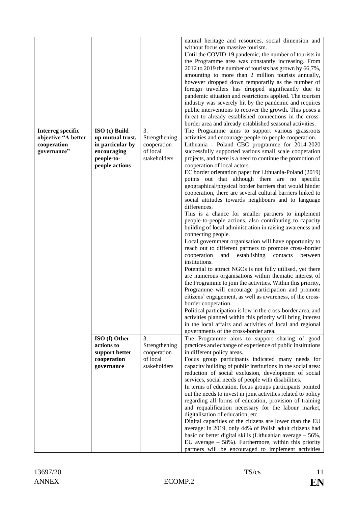| <b>Interreg specific</b><br>objective "A better | ISO (c) Build<br>up mutual trust,                                          | 3.<br>Strengthening                                            | natural heritage and resources, social dimension and<br>without focus on massive tourism.<br>Until the COVID-19 pandemic, the number of tourists in<br>the Programme area was constantly increasing. From<br>2012 to 2019 the number of tourists has grown by 66,7%,<br>amounting to more than 2 million tourists annually,<br>however dropped down temporarily as the number of<br>foreign travellers has dropped significantly due to<br>pandemic situation and restrictions applied. The tourism<br>industry was severely hit by the pandemic and requires<br>public interventions to recover the growth. This poses a<br>threat to already established connections in the cross-<br>border area and already established seasonal activities.<br>The Programme aims to support various grassroots<br>activities and encourage people-to-people cooperation.                                                                                                                                                                                                                                                                                                                                                                                                                                                                                                                                                                                                                                   |
|-------------------------------------------------|----------------------------------------------------------------------------|----------------------------------------------------------------|--------------------------------------------------------------------------------------------------------------------------------------------------------------------------------------------------------------------------------------------------------------------------------------------------------------------------------------------------------------------------------------------------------------------------------------------------------------------------------------------------------------------------------------------------------------------------------------------------------------------------------------------------------------------------------------------------------------------------------------------------------------------------------------------------------------------------------------------------------------------------------------------------------------------------------------------------------------------------------------------------------------------------------------------------------------------------------------------------------------------------------------------------------------------------------------------------------------------------------------------------------------------------------------------------------------------------------------------------------------------------------------------------------------------------------------------------------------------------------------------------|
| cooperation<br>governance"                      | in particular by<br>encouraging<br>people-to-<br>people actions            | cooperation<br>of local<br>stakeholders                        | Lithuania - Poland CBC programme for 2014-2020<br>successfully supported various small scale cooperation<br>projects, and there is a need to continue the promotion of<br>cooperation of local actors.<br>EC border orientation paper for Lithuania-Poland (2019)<br>points out that although there are no specific<br>geographical/physical border barriers that would hinder<br>cooperation, there are several cultural barriers linked to<br>social attitudes towards neighbours and to language<br>differences.<br>This is a chance for smaller partners to implement<br>people-to-people actions, also contributing to capacity<br>building of local administration in raising awareness and<br>connecting people.<br>Local government organisation will have opportunity to<br>reach out to different partners to promote cross-border<br>cooperation<br>establishing<br>and<br>contacts<br>between<br>institutions.<br>Potential to attract NGOs is not fully utilised, yet there<br>are numerous organisations within thematic interest of<br>the Programme to join the activities. Within this priority,<br>Programme will encourage participation and promote<br>citizens' engagement, as well as awareness, of the cross-<br>border cooperation.<br>Political participation is low in the cross-border area, and<br>activities planned within this priority will bring interest<br>in the local affairs and activities of local and regional<br>governments of the cross-border area. |
|                                                 | ISO (f) Other<br>actions to<br>support better<br>cooperation<br>governance | 3.<br>Strengthening<br>cooperation<br>of local<br>stakeholders | The Programme aims to support sharing of good<br>practices and echange of experience of public institutions<br>in different policy areas.<br>Focus group participants indicated many needs for<br>capacity building of public institutions in the social area:<br>reduction of social exclusion, development of social<br>services, social needs of people with disabilities.<br>In terms of education, focus groups participants pointed<br>out the needs to invest in joint activities related to policy<br>regarding all forms of education, provision of training<br>and requalification necessary for the labour market,<br>digitalisation of education, etc.<br>Digital capacities of the citizens are lower than the EU<br>average: in 2019, only 44% of Polish adult citizens had<br>basic or better digital skills (Lithuanian average $-56\%$ ,<br>EU average $-58%$ ). Furthermore, within this priority<br>partners will be encouraged to implement activities                                                                                                                                                                                                                                                                                                                                                                                                                                                                                                                       |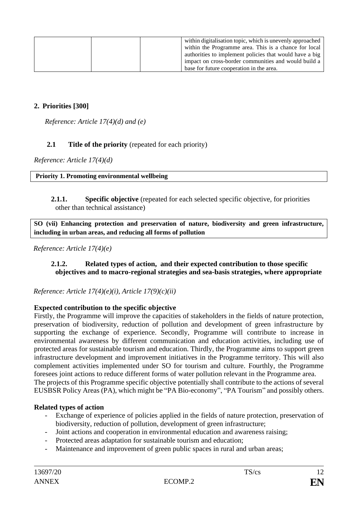| within digitalisation topic, which is unevenly approached |
|-----------------------------------------------------------|
| within the Programme area. This is a chance for local     |
| authorities to implement policies that would have a big   |
| impact on cross-border communities and would build a      |
| base for future cooperation in the area.                  |

# **2. Priorities [300]**

*Reference: Article 17(4)(d) and (e)*

# **2.1 Title of the priority** (repeated for each priority)

*Reference: Article 17(4)(d)*

#### **Priority 1. Promoting environmental wellbeing**

**2.1.1. Specific objective** (repeated for each selected specific objective, for priorities other than technical assistance)

**SO (vii) Enhancing protection and preservation of nature, biodiversity and green infrastructure, including in urban areas, and reducing all forms of pollution**

*Reference: Article 17(4)(e)* 

#### **2.1.2. Related types of action, and their expected contribution to those specific objectives and to macro-regional strategies and sea-basis strategies, where appropriate**

*Reference: Article 17(4)(e)(i), Article 17(9)(c)(ii)* 

### **Expected contribution to the specific objective**

Firstly, the Programme will improve the capacities of stakeholders in the fields of nature protection, preservation of biodiversity, reduction of pollution and development of green infrastructure by supporting the exchange of experience. Secondly, Programme will contribute to increase in environmental awareness by different communication and education activities, including use of protected areas for sustainable tourism and education. Thirdly, the Programme aims to support green infrastructure development and improvement initiatives in the Programme territory. This will also complement activities implemented under SO for tourism and culture. Fourthly, the Programme foresees joint actions to reduce different forms of water pollution relevant in the Programme area. The projects of this Programme specific objective potentially shall contribute to the actions of several EUSBSR Policy Areas (PA), which might be "PA Bio-economy", "PA Tourism" and possibly others.

### **Related types of action**

- Exchange of experience of policies applied in the fields of nature protection, preservation of biodiversity, reduction of pollution, development of green infrastructure;
- Joint actions and cooperation in environmental education and awareness raising;
- Protected areas adaptation for sustainable tourism and education;
- Maintenance and improvement of green public spaces in rural and urban areas;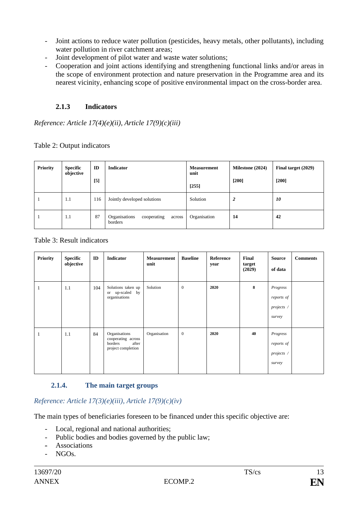- Joint actions to reduce water pollution (pesticides, heavy metals, other pollutants), including water pollution in river catchment areas;
- Joint development of pilot water and waste water solutions;
- Cooperation and joint actions identifying and strengthening functional links and/or areas in the scope of environment protection and nature preservation in the Programme area and its nearest vicinity, enhancing scope of positive environmental impact on the cross-border area.

# **2.1.3 Indicators**

*Reference: Article 17(4)(e)(ii), Article 17(9)(c)(iii)*

Table 2: Output indicators

| Priority | <b>Specific</b><br>objective | ID<br>$[5]$ | <b>Indicator</b>                                  | <b>Measurement</b><br>unit<br>[255] | Milestone (2024)<br>$[200]$ | Final target (2029)<br>$[200]$ |
|----------|------------------------------|-------------|---------------------------------------------------|-------------------------------------|-----------------------------|--------------------------------|
| ۰        | 1.1                          | 116         | Jointly developed solutions                       | Solution                            | 2                           | 10                             |
| п        | 1.1                          | 87          | Organisations<br>cooperating<br>across<br>borders | Organisation                        | 14                          | 42                             |

## Table 3: Result indicators

| <b>Priority</b> | <b>Specific</b><br>objective | ID  | Indicator                                                                     | <b>Measurement</b><br>unit | <b>Baseline</b> | Reference<br>year | Final<br>target<br>(2029) | <b>Source</b><br>of data                       | <b>Comments</b> |
|-----------------|------------------------------|-----|-------------------------------------------------------------------------------|----------------------------|-----------------|-------------------|---------------------------|------------------------------------------------|-----------------|
| 1               | 1.1                          | 104 | Solutions taken up<br>or up-scaled by<br>organisations                        | Solution                   | $\mathbf{0}$    | 2020              | 8                         | Progress<br>reports of<br>projects /<br>survey |                 |
| 1               | 1.1                          | 84  | Organisations<br>cooperating across<br>borders<br>after<br>project completion | Organisation               | $\mathbf{0}$    | 2020              | 40                        | Progress<br>reports of<br>projects /<br>survey |                 |

# **2.1.4. The main target groups**

# *Reference: Article 17(3)(e)(iii), Article 17(9)(c)(iv)*

The main types of beneficiaries foreseen to be financed under this specific objective are:

- Local, regional and national authorities;
- Public bodies and bodies governed by the public law;
- Associations
- NGOs.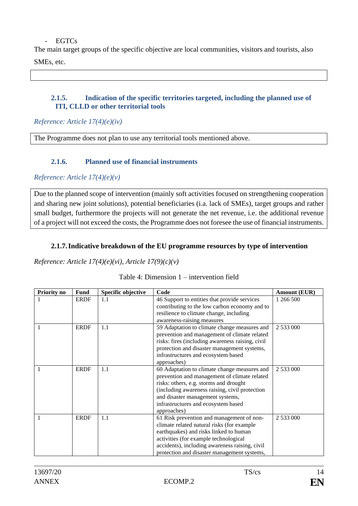#### EGTCs

The main target groups of the specific objective are local communities, visitors and tourists, also SMEs, etc.

**2.1.5. Indication of the specific territories targeted, including the planned use of ITI, CLLD or other territorial tools**

*Reference: Article 17(4)(e)(iv)*

The Programme does not plan to use any territorial tools mentioned above.

## **2.1.6. Planned use of financial instruments**

*Reference: Article 17(4)(e)(v)*

Due to the planned scope of intervention (mainly soft activities focused on strengthening cooperation and sharing new joint solutions), potential beneficiaries (i.a. lack of SMEs), target groups and rather small budget, furthermore the projects will not generate the net revenue, i.e. the additional revenue of a project will not exceed the costs, the Programme does not foresee the use of financial instruments.

## **2.1.7.Indicative breakdown of the EU programme resources by type of intervention**

*Reference: Article 17(4)(e)(vi), Article 17(9)(c)(v)*

| Table 4: Dimension $1$ – intervention field |  |  |
|---------------------------------------------|--|--|
|---------------------------------------------|--|--|

| Priority no | <b>Fund</b> | Specific objective | Code                                             | <b>Amount (EUR)</b> |
|-------------|-------------|--------------------|--------------------------------------------------|---------------------|
|             | <b>ERDF</b> | 1.1                | 46 Support to entities that provide services     | 1 266 500           |
|             |             |                    | contributing to the low carbon economy and to    |                     |
|             |             |                    | resilience to climate change, including          |                     |
|             |             |                    | awareness-raising measures                       |                     |
| 1           | <b>ERDF</b> | 1.1                | 59 Adaptation to climate change measures and     | 2 533 000           |
|             |             |                    | prevention and management of climate related     |                     |
|             |             |                    | risks: fires (including awareness raising, civil |                     |
|             |             |                    | protection and disaster management systems,      |                     |
|             |             |                    | infrastructures and ecosystem based              |                     |
|             |             |                    | approaches)                                      |                     |
| 1           | <b>ERDF</b> | 1.1                | 60 Adaptation to climate change measures and     | 2 533 000           |
|             |             |                    | prevention and management of climate related     |                     |
|             |             |                    | risks: others, e.g. storms and drought           |                     |
|             |             |                    | (including awareness raising, civil protection   |                     |
|             |             |                    | and disaster management systems,                 |                     |
|             |             |                    | infrastructures and ecosystem based              |                     |
|             |             |                    | approaches)                                      |                     |
| 1           | <b>ERDF</b> | 1.1                | 61 Risk prevention and management of non-        | 2 533 000           |
|             |             |                    | climate related natural risks (for example       |                     |
|             |             |                    | earthquakes) and risks linked to human           |                     |
|             |             |                    | activities (for example technological            |                     |
|             |             |                    | accidents), including awareness raising, civil   |                     |
|             |             |                    | protection and disaster management systems,      |                     |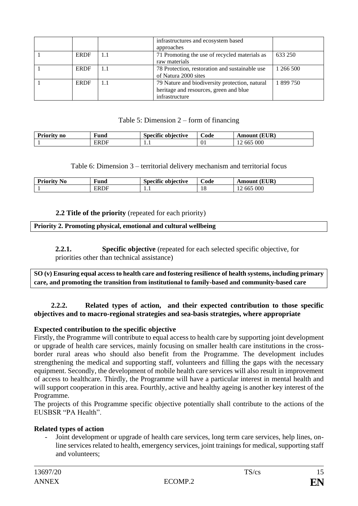|             |     | infrastructures and ecosystem based<br>approaches                                                          |           |
|-------------|-----|------------------------------------------------------------------------------------------------------------|-----------|
| <b>ERDF</b> | 1.1 | 71 Promoting the use of recycled materials as<br>raw materials                                             | 633 250   |
| <b>ERDF</b> | 1.1 | 78 Protection, restoration and sustainable use<br>of Natura 2000 sites                                     | 1 266 500 |
| <b>ERDF</b> | 1.1 | 79 Nature and biodiversity protection, natural<br>heritage and resources, green and blue<br>infrastructure | 1 899 750 |

## Table 5: Dimension 2 – form of financing

| Prior<br>n <sub>0</sub> | $\mathbf{r}$<br>†unα | $\cdot$<br>objective<br>Specific | ∼<br>Code | 'EUR)<br>Amoun                |
|-------------------------|----------------------|----------------------------------|-----------|-------------------------------|
|                         | <b>ERDF</b>          | .                                | -01       | 565 000<br>$\sim$<br>665<br>∸ |

Table 6: Dimension 3 – territorial delivery mechanism and territorial focus

| <b>Priority No</b> | $\mathbf{r}$<br>∀und | $\cdot$<br>Specific objective | <b>Code</b> | (EUR)<br>Amount |
|--------------------|----------------------|-------------------------------|-------------|-----------------|
|                    | ERDF                 | .                             | 18          | 665 000         |

## **2.2 Title of the priority** (repeated for each priority)

#### **Priority 2. Promoting physical, emotional and cultural wellbeing**

**2.2.1. Specific objective** (repeated for each selected specific objective, for priorities other than technical assistance)

**SO (v) Ensuring equal access to health care and fostering resilience of health systems, including primary care, and promoting the transition from institutional to family-based and community-based care**

### **2.2.2. Related types of action, and their expected contribution to those specific objectives and to macro-regional strategies and sea-basis strategies, where appropriate**

### **Expected contribution to the specific objective**

Firstly, the Programme will contribute to equal access to health care by supporting joint development or upgrade of health care services, mainly focusing on smaller health care institutions in the crossborder rural areas who should also benefit from the Programme. The development includes strengthening the medical and supporting staff, volunteers and filling the gaps with the necessary equipment. Secondly, the development of mobile health care services will also result in improvement of access to healthcare. Thirdly, the Programme will have a particular interest in mental health and will support cooperation in this area. Fourthly, active and healthy ageing is another key interest of the Programme.

The projects of this Programme specific objective potentially shall contribute to the actions of the EUSBSR "PA Health".

### **Related types of action**

- Joint development or upgrade of health care services, long term care services, help lines, online services related to health, emergency services, joint trainings for medical, supporting staff and volunteers;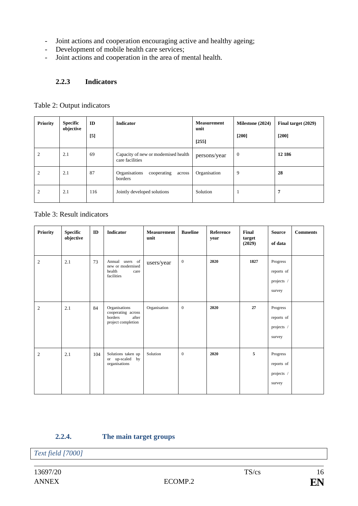- Joint actions and cooperation encouraging active and healthy ageing;
- Development of mobile health care services;
- Joint actions and cooperation in the area of mental health.

## **2.2.3 Indicators**

|  |  | Table 2: Output indicators |
|--|--|----------------------------|
|--|--|----------------------------|

| <b>Priority</b> | Specific<br>objective | ID<br>[5] | <b>Indicator</b>                                        | <b>Measurement</b><br>unit<br>$[255]$ | Milestone (2024)<br>$[200]$ | Final target (2029)<br>$[200]$ |
|-----------------|-----------------------|-----------|---------------------------------------------------------|---------------------------------------|-----------------------------|--------------------------------|
| 2               | 2.1                   | 69        | Capacity of new or modernised health<br>care facilities | persons/year                          | $\mathbf{0}$                | 12 18 6                        |
| 2               | 2.1                   | 87        | Organisations<br>cooperating<br>across<br>borders       | Organisation                          | 9                           | 28                             |
| $\overline{c}$  | 2.1                   | 116       | Jointly developed solutions                             | Solution                              |                             | 7                              |

Table 3: Result indicators

| <b>Priority</b> | <b>Specific</b><br>objective | ID  | <b>Indicator</b>                                                              | <b>Measurement</b><br>unit | <b>Baseline</b>  | <b>Reference</b><br>year | Final<br>target<br>(2029) | <b>Source</b><br>of data                       | <b>Comments</b> |
|-----------------|------------------------------|-----|-------------------------------------------------------------------------------|----------------------------|------------------|--------------------------|---------------------------|------------------------------------------------|-----------------|
| 2               | 2.1                          | 73  | Annual<br>users of<br>new or modernised<br>health<br>care<br>facilities       | users/year                 | $\boldsymbol{0}$ | 2020                     | 1827                      | Progress<br>reports of<br>projects /<br>survey |                 |
| 2               | 2.1                          | 84  | Organisations<br>cooperating across<br>borders<br>after<br>project completion | Organisation               | $\mathbf{0}$     | 2020                     | 27                        | Progress<br>reports of<br>projects /<br>survey |                 |
| 2               | 2.1                          | 104 | Solutions taken up<br>or up-scaled by<br>organisations                        | Solution                   | $\boldsymbol{0}$ | 2020                     | 5                         | Progress<br>reports of<br>projects /<br>survey |                 |

# **2.2.4. The main target groups**

*Text field [7000]*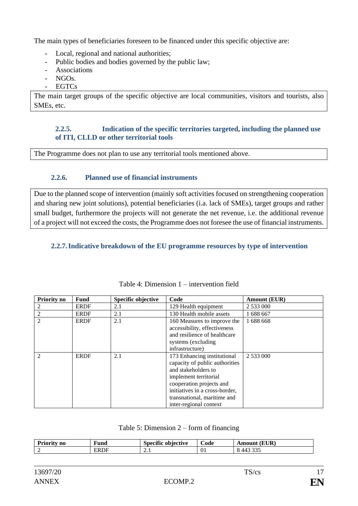The main types of beneficiaries foreseen to be financed under this specific objective are:

- Local, regional and national authorities;
- Public bodies and bodies governed by the public law;
- Associations
- NGOs.
- EGTCs

The main target groups of the specific objective are local communities, visitors and tourists, also SMEs, etc.

# **2.2.5. Indication of the specific territories targeted, including the planned use of ITI, CLLD or other territorial tools**

The Programme does not plan to use any territorial tools mentioned above.

# **2.2.6. Planned use of financial instruments**

Due to the planned scope of intervention (mainly soft activities focused on strengthening cooperation and sharing new joint solutions), potential beneficiaries (i.a. lack of SMEs), target groups and rather small budget, furthermore the projects will not generate the net revenue, i.e. the additional revenue of a project will not exceed the costs, the Programme does not foresee the use of financial instruments.

# **2.2.7.Indicative breakdown of the EU programme resources by type of intervention**

| <b>Priority no</b> | <b>Fund</b> | <b>Specific objective</b> | Code                           | Amount (EUR) |
|--------------------|-------------|---------------------------|--------------------------------|--------------|
|                    | <b>ERDF</b> | 2.1                       | 129 Health equipment           | 2 533 000    |
| 2                  | <b>ERDF</b> | 2.1                       | 130 Health mobile assets       | 1 688 667    |
| $\mathfrak{D}$     | <b>ERDF</b> | 2.1                       | 160 Measures to improve the    | 1 688 668    |
|                    |             |                           | accessibility, effectiveness   |              |
|                    |             |                           | and resilience of healthcare   |              |
|                    |             |                           | systems (excluding)            |              |
|                    |             |                           | infrastructure)                |              |
| $\mathfrak{D}$     | <b>ERDF</b> | 2.1                       | 173 Enhancing institutional    | 2 533 000    |
|                    |             |                           | capacity of public authorities |              |
|                    |             |                           | and stakeholders to            |              |
|                    |             |                           | implement territorial          |              |
|                    |             |                           | cooperation projects and       |              |
|                    |             |                           | initiatives in a cross-border, |              |
|                    |             |                           | transnational, maritime and    |              |
|                    |             |                           | inter-regional context         |              |

| Table 4: Dimension 1 – intervention field |  |  |
|-------------------------------------------|--|--|
|                                           |  |  |

### Table 5: Dimension 2 – form of financing

| Priority<br>no<br>and the control of the control of | <b>TO</b><br>Fund            | $\cdot$<br>Specific<br>objective | -<br>.code | (EUR)<br>Amour                     |
|-----------------------------------------------------|------------------------------|----------------------------------|------------|------------------------------------|
|                                                     | $\mathbf{FR}$<br>ж.<br>-www. | $\sim\cdot$                      | U.         | $\sim$ $\sim$ $\sim$<br><br>,<br>ີ |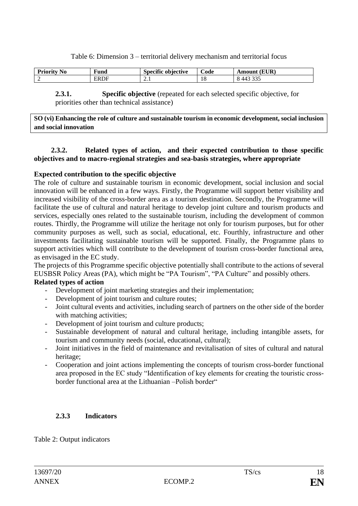Table 6: Dimension 3 – territorial delivery mechanism and territorial focus

| $\sim$ $\sim$<br><b>No</b><br>٦U<br>. | ®und | $\cdot$<br>. .<br>. obiective | -<br>പദ<br>ouc | $T$ $T$ $D$<br>ЛV |
|---------------------------------------|------|-------------------------------|----------------|-------------------|
| -                                     | ≀R   | $\overline{ }$                | 10             | $\sim$ $\sim$     |

**2.3.1. Specific objective** (repeated for each selected specific objective, for priorities other than technical assistance)

**SO (vi) Enhancing the role of culture and sustainable tourism in economic development, social inclusion and social innovation**

## **2.3.2. Related types of action, and their expected contribution to those specific objectives and to macro-regional strategies and sea-basis strategies, where appropriate**

## **Expected contribution to the specific objective**

The role of culture and sustainable tourism in economic development, social inclusion and social innovation will be enhanced in a few ways. Firstly, the Programme will support better visibility and increased visibility of the cross-border area as a tourism destination. Secondly, the Programme will facilitate the use of cultural and natural heritage to develop joint culture and tourism products and services, especially ones related to the sustainable tourism, including the development of common routes. Thirdly, the Programme will utilize the heritage not only for tourism purposes, but for other community purposes as well, such as social, educational, etc. Fourthly, infrastructure and other investments facilitating sustainable tourism will be supported. Finally, the Programme plans to support activities which will contribute to the development of tourism cross-border functional area, as envisaged in the EC study.

The projects of this Programme specific objective potentially shall contribute to the actions of several EUSBSR Policy Areas (PA), which might be "PA Tourism", "PA Culture" and possibly others.

# **Related types of action**

- Development of joint marketing strategies and their implementation;
- Development of joint tourism and culture routes;
- Joint cultural events and activities, including search of partners on the other side of the border with matching activities;
- Development of joint tourism and culture products;
- Sustainable development of natural and cultural heritage, including intangible assets, for tourism and community needs (social, educational, cultural);
- Joint initiatives in the field of maintenance and revitalisation of sites of cultural and natural heritage;
- Cooperation and joint actions implementing the concepts of tourism cross-border functional area proposed in the EC study "Identification of key elements for creating the touristic crossborder functional area at the Lithuanian –Polish border"

### **2.3.3 Indicators**

Table 2: Output indicators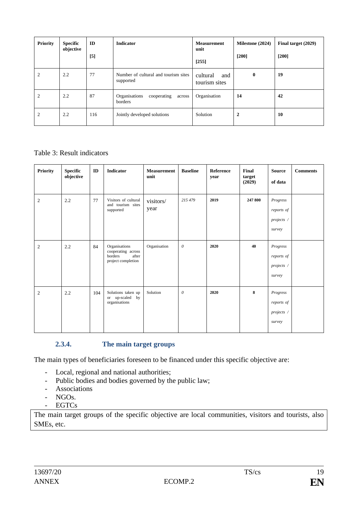| <b>Priority</b> | <b>Specific</b><br>objective | ID<br>[5] | <b>Indicator</b>                                  | <b>Measurement</b><br>unit<br>$[255]$ | Milestone (2024)<br>$[200]$ | Final target (2029)<br>$[200]$ |
|-----------------|------------------------------|-----------|---------------------------------------------------|---------------------------------------|-----------------------------|--------------------------------|
| 2               | 2.2                          | 77        | Number of cultural and tourism sites<br>supported | cultural<br>and<br>tourism sites      | $\bf{0}$                    | 19                             |
| 2               | 2.2                          | 87        | Organisations<br>cooperating<br>across<br>borders | Organisation                          | 14                          | 42                             |
| 2               | 2.2                          | 116       | Jointly developed solutions                       | Solution                              | $\mathbf{2}$                | 10                             |

# Table 3: Result indicators

| <b>Priority</b> | <b>Specific</b><br>objective | ID  | <b>Indicator</b>                                                              | <b>Measurement</b><br>unit | <b>Baseline</b>           | Reference<br>year | Final<br>target<br>(2029) | <b>Source</b><br>of data                       | <b>Comments</b> |
|-----------------|------------------------------|-----|-------------------------------------------------------------------------------|----------------------------|---------------------------|-------------------|---------------------------|------------------------------------------------|-----------------|
| $\mathfrak{2}$  | $2.2\,$                      | 77  | Visitors of cultural<br>and tourism sites<br>supported                        | visitors/<br>year          | 215 479                   | 2019              | 247 800                   | Progress<br>reports of<br>projects /<br>survey |                 |
| $\overline{2}$  | 2.2                          | 84  | Organisations<br>cooperating across<br>borders<br>after<br>project completion | Organisation               | $\theta$                  | 2020              | 40                        | Progress<br>reports of<br>projects /<br>survey |                 |
| $\mathfrak{2}$  | 2.2                          | 104 | Solutions taken up<br>or up-scaled by<br>organisations                        | Solution                   | $\boldsymbol{\mathit{0}}$ | 2020              | 8                         | Progress<br>reports of<br>projects /<br>survey |                 |

# **2.3.4. The main target groups**

The main types of beneficiaries foreseen to be financed under this specific objective are:

- Local, regional and national authorities;
- Public bodies and bodies governed by the public law;
- Associations
- NGOs.
- EGTCs

The main target groups of the specific objective are local communities, visitors and tourists, also SMEs, etc.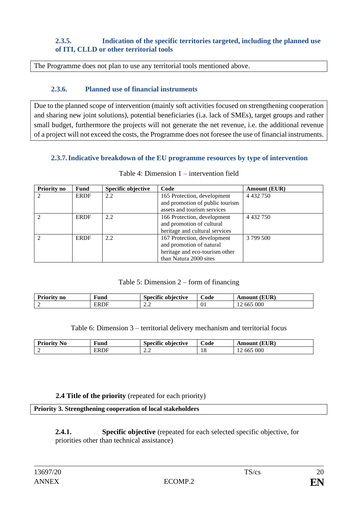# **2.3.5. Indication of the specific territories targeted, including the planned use of ITI, CLLD or other territorial tools**

The Programme does not plan to use any territorial tools mentioned above.

## **2.3.6. Planned use of financial instruments**

Due to the planned scope of intervention (mainly soft activities focused on strengthening cooperation and sharing new joint solutions), potential beneficiaries (i.a. lack of SMEs), target groups and rather small budget, furthermore the projects will not generate the net revenue, i.e. the additional revenue of a project will not exceed the costs, the Programme does not foresee the use of financial instruments.

### **2.3.7.Indicative breakdown of the EU programme resources by type of intervention**

| <b>Priority no</b> | Fund        | Specific objective | Code                            | <b>Amount (EUR)</b> |
|--------------------|-------------|--------------------|---------------------------------|---------------------|
| $\mathfrak{D}$     | <b>ERDF</b> | 2.2                | 165 Protection, development     | 4 4 3 2 7 5 0       |
|                    |             |                    | and promotion of public tourism |                     |
|                    |             |                    | assets and tourism services     |                     |
| $\mathcal{L}$      | <b>ERDF</b> | 2.2                | 166 Protection, development     | 4 4 3 2 7 5 0       |
|                    |             |                    | and promotion of cultural       |                     |
|                    |             |                    | heritage and cultural services  |                     |
| $\mathcal{L}$      | <b>ERDF</b> | 2.2                | 167 Protection, development     | 3 799 500           |
|                    |             |                    | and promotion of natural        |                     |
|                    |             |                    | heritage and eco-tourism other  |                     |
|                    |             |                    | than Natura 2000 sites          |                     |

#### Table 4: Dimension 1 – intervention field

### Table 5: Dimension 2 – form of financing

| ,,,,,<br>IA 1911 T<br>n0 | ∺uno              | . GI<br>objective<br>Snaeitie<br>$-111$ | $\sim$<br>$\mathcal{\cup}$ ode | (EUR)<br>Amount    |
|--------------------------|-------------------|-----------------------------------------|--------------------------------|--------------------|
|                          | FR<br>. .<br>civi | ∼ ∼<br>$\overline{a}$                   | <u>vi</u>                      | 000<br>-002<br>. . |

Table 6: Dimension 3 – territorial delivery mechanism and territorial focus

| $\blacksquare$<br>ъ.<br>Prioritv<br>NO | √und | $\sim$<br><br>obiective<br>.snecīt | ∼<br>ode | 'EUR<br>Amour |
|----------------------------------------|------|------------------------------------|----------|---------------|
|                                        | FRL. | <b>^^</b>                          | LО       | 565 000       |
|                                        | DE   | متدمته                             | 10       | .00           |

### **2.4 Title of the priority** (repeated for each priority)

**Priority 3. Strengthening cooperation of local stakeholders**

**2.4.1. Specific objective** (repeated for each selected specific objective, for priorities other than technical assistance)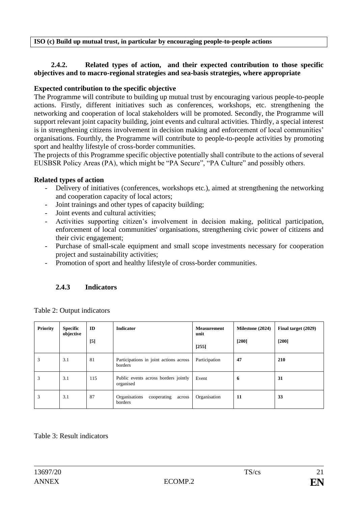**ISO (c) Build up mutual trust, in particular by encouraging people-to-people actions**

## **2.4.2. Related types of action, and their expected contribution to those specific objectives and to macro-regional strategies and sea-basis strategies, where appropriate**

# **Expected contribution to the specific objective**

The Programme will contribute to building up mutual trust by encouraging various people-to-people actions. Firstly, different initiatives such as conferences, workshops, etc. strengthening the networking and cooperation of local stakeholders will be promoted. Secondly, the Programme will support relevant joint capacity building, joint events and cultural activities. Thirdly, a special interest is in strengthening citizens involvement in decision making and enforcement of local communities' organisations. Fourthly, the Programme will contribute to people-to-people activities by promoting sport and healthy lifestyle of cross-border communities.

The projects of this Programme specific objective potentially shall contribute to the actions of several EUSBSR Policy Areas (PA), which might be "PA Secure", "PA Culture" and possibly others.

## **Related types of action**

- Delivery of initiatives (conferences, workshops etc.), aimed at strengthening the networking and cooperation capacity of local actors;
- Joint trainings and other types of capacity building;
- Joint events and cultural activities;
- Activities supporting citizen's involvement in decision making, political participation, enforcement of local communities' organisations, strengthening civic power of citizens and their civic engagement;
- Purchase of small-scale equipment and small scope investments necessary for cooperation project and sustainability activities;
- Promotion of sport and healthy lifestyle of cross-border communities.

# **2.4.3 Indicators**

| <b>Priority</b> | <b>Specific</b><br>objective | ID<br>[5] | <b>Indicator</b>                                  | <b>Measurement</b><br>unit<br>[255] | Milestone (2024)<br>$[200]$ | Final target (2029)<br>$[200]$ |
|-----------------|------------------------------|-----------|---------------------------------------------------|-------------------------------------|-----------------------------|--------------------------------|
| 3               | 3.1                          | 81        | Participations in joint actions across<br>borders | Participation                       | 47                          | 210                            |
| 3               | 3.1                          | 115       | Public events across borders jointly<br>organised | Event                               | 6                           | 31                             |
| 3               | 3.1                          | 87        | Organisations<br>cooperating<br>across<br>borders | Organisation                        | 11                          | 33                             |

Table 2: Output indicators

### Table 3: Result indicators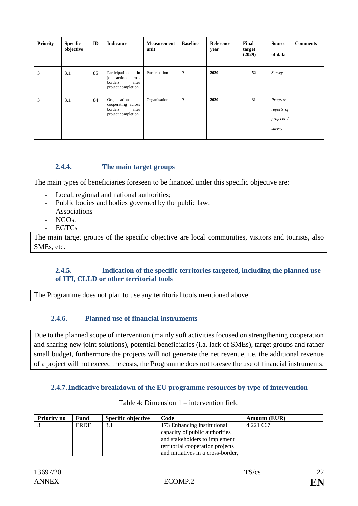| <b>Priority</b> | <b>Specific</b><br>objective | ID | <b>Indicator</b>                                                                       | <b>Measurement</b><br>unit | <b>Baseline</b> | Reference<br>year | Final<br>target<br>(2029) | <b>Source</b><br>of data                       | <b>Comments</b> |
|-----------------|------------------------------|----|----------------------------------------------------------------------------------------|----------------------------|-----------------|-------------------|---------------------------|------------------------------------------------|-----------------|
| 3               | 3.1                          | 85 | in<br>Participations<br>joint actions across<br>borders<br>after<br>project completion | Participation              | $\theta$        | 2020              | 52                        | Survey                                         |                 |
| 3               | 3.1                          | 84 | Organisations<br>cooperating across<br>borders<br>after<br>project completion          | Organisation               | $\theta$        | 2020              | 31                        | Progress<br>reports of<br>projects /<br>survey |                 |

# **2.4.4. The main target groups**

The main types of beneficiaries foreseen to be financed under this specific objective are:

- Local, regional and national authorities;
- Public bodies and bodies governed by the public law;
- **Associations**
- NGO<sub>s</sub>.
- EGTCs

The main target groups of the specific objective are local communities, visitors and tourists, also SMEs, etc.

## **2.4.5. Indication of the specific territories targeted, including the planned use of ITI, CLLD or other territorial tools**

The Programme does not plan to use any territorial tools mentioned above.

# **2.4.6. Planned use of financial instruments**

Due to the planned scope of intervention (mainly soft activities focused on strengthening cooperation and sharing new joint solutions), potential beneficiaries (i.a. lack of SMEs), target groups and rather small budget, furthermore the projects will not generate the net revenue, i.e. the additional revenue of a project will not exceed the costs, the Programme does not foresee the use of financial instruments.

### **2.4.7.Indicative breakdown of the EU programme resources by type of intervention**

| <b>Priority no</b> | Fund        | <b>Specific objective</b> | Code                               | <b>Amount (EUR)</b> |
|--------------------|-------------|---------------------------|------------------------------------|---------------------|
|                    | <b>ERDF</b> | 3.1                       | 173 Enhancing institutional        | 4 2 2 1 6 6 7       |
|                    |             |                           | capacity of public authorities     |                     |
|                    |             |                           | and stakeholders to implement      |                     |
|                    |             |                           | territorial cooperation projects   |                     |
|                    |             |                           | and initiatives in a cross-border, |                     |

| Table 4: Dimension $1$ – intervention field |
|---------------------------------------------|
|                                             |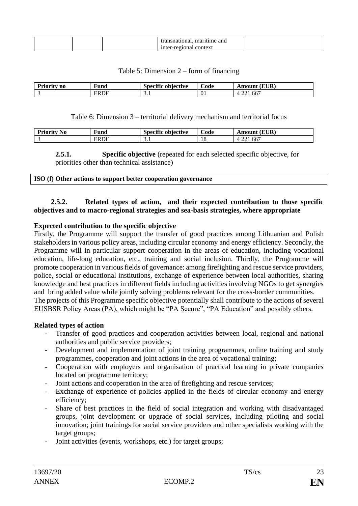|  | and<br>mme<br>. |  |
|--|-----------------|--|
|  | ш<br>◡◠         |  |

#### Table 5: Dimension 2 – form of financing

| D<br>utv no | $\blacksquare$<br>∗und | $\sim$<br><br>obiective<br>snecīt | $\sim$<br>Code | EUR<br>Amour <sup>®</sup>  |
|-------------|------------------------|-----------------------------------|----------------|----------------------------|
|             | ERDF                   | ـ                                 | υı.            | $\sim$<br>OO.<br><u>. </u> |

Table 6: Dimension 3 – territorial delivery mechanism and territorial focus

| D.<br>No<br>. IU | $\sim$<br>111M<br>unu | ⌒<br>$• \n$<br>objective | -<br>Code | EUR <sup>\</sup><br>Amoun <sup>+</sup> |
|------------------|-----------------------|--------------------------|-----------|----------------------------------------|
|                  | ۱ь                    | ـ                        | 10        | $\sim$<br>66<br><u>. .</u>             |

**2.5.1. Specific objective** (repeated for each selected specific objective, for priorities other than technical assistance)

| ISO (f) Other actions to support better cooperation governance |
|----------------------------------------------------------------|
|----------------------------------------------------------------|

### **2.5.2. Related types of action, and their expected contribution to those specific objectives and to macro-regional strategies and sea-basis strategies, where appropriate**

#### **Expected contribution to the specific objective**

Firstly, the Programme will support the transfer of good practices among Lithuanian and Polish stakeholders in various policy areas, including circular economy and energy efficiency. Secondly, the Programme will in particular support cooperation in the areas of education, including vocational education, life-long education, etc., training and social inclusion. Thirdly, the Programme will promote cooperation in various fields of governance: among firefighting and rescue service providers, police, social or educational institutions, exchange of experience between local authorities, sharing knowledge and best practices in different fields including activities involving NGOs to get synergies and bring added value while jointly solving problems relevant for the cross-border communities. The projects of this Programme specific objective potentially shall contribute to the actions of several EUSBSR Policy Areas (PA), which might be "PA Secure", "PA Education" and possibly others.

#### **Related types of action**

- Transfer of good practices and cooperation activities between local, regional and national authorities and public service providers;
- Development and implementation of joint training programmes, online training and study programmes, cooperation and joint actions in the area of vocational training;
- Cooperation with employers and organisation of practical learning in private companies located on programme territory;
- Joint actions and cooperation in the area of firefighting and rescue services;
- Exchange of experience of policies applied in the fields of circular economy and energy efficiency;
- Share of best practices in the field of social integration and working with disadvantaged groups, joint development or upgrade of social services, including piloting and social innovation; joint trainings for social service providers and other specialists working with the target groups;
- Joint activities (events, workshops, etc.) for target groups;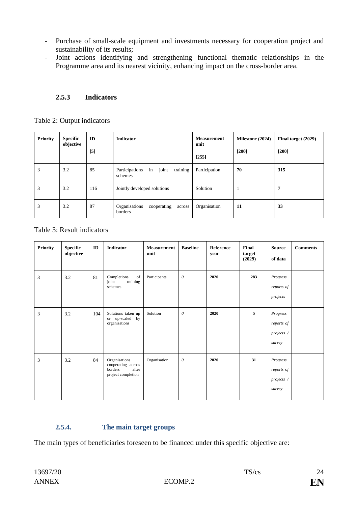- Purchase of small-scale equipment and investments necessary for cooperation project and sustainability of its results;
- Joint actions identifying and strengthening functional thematic relationships in the Programme area and its nearest vicinity, enhancing impact on the cross-border area.

# **2.5.3 Indicators**

| <b>Priority</b> | <b>Specific</b><br>objective | ID    | <b>Indicator</b>                                     | <b>Measurement</b><br>unit | Milestone (2024) | Final target (2029) |
|-----------------|------------------------------|-------|------------------------------------------------------|----------------------------|------------------|---------------------|
|                 |                              | $[5]$ |                                                      | $[255]$                    | $[200]$          | $[200]$             |
| 3               | 3.2                          | 85    | joint<br>training<br>in<br>Participations<br>schemes | Participation              | 70               | 315                 |
| 3               | 3.2                          | 116   | Jointly developed solutions                          | Solution                   |                  | 7                   |
| 3               | 3.2                          | 87    | Organisations<br>cooperating<br>across<br>borders    | Organisation               | 11               | 33                  |

Table 3: Result indicators

| <b>Priority</b> | <b>Specific</b><br>objective | ID  | <b>Indicator</b>                                                              | <b>Measurement</b><br>unit | <b>Baseline</b>       | Reference<br>year | Final<br>target<br>(2029) | <b>Source</b><br>of data                       | <b>Comments</b> |
|-----------------|------------------------------|-----|-------------------------------------------------------------------------------|----------------------------|-----------------------|-------------------|---------------------------|------------------------------------------------|-----------------|
| 3               | 3.2                          | 81  | Completions<br>of<br>training<br>joint<br>schemes                             | Participants               | $\theta$              | 2020              | 283                       | Progress<br>reports of<br>projects             |                 |
| 3               | 3.2                          | 104 | Solutions taken up<br>or up-scaled by<br>organisations                        | Solution                   | $\theta$              | 2020              | 5                         | Progress<br>reports of<br>projects /<br>survey |                 |
| 3               | 3.2                          | 84  | Organisations<br>cooperating across<br>borders<br>after<br>project completion | Organisation               | $\boldsymbol{\theta}$ | 2020              | 31                        | Progress<br>reports of<br>projects /<br>survey |                 |

# **2.5.4. The main target groups**

The main types of beneficiaries foreseen to be financed under this specific objective are: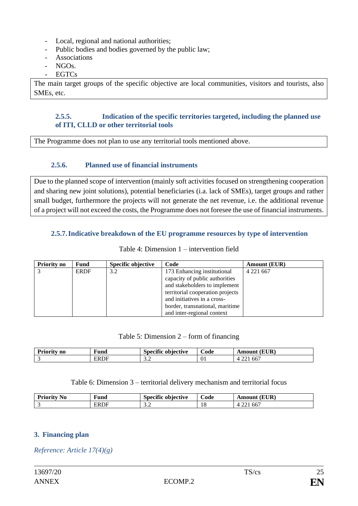- Local, regional and national authorities;
- Public bodies and bodies governed by the public law;
- **Associations**
- $NGOs.$
- EGTCs

The main target groups of the specific objective are local communities, visitors and tourists, also SMEs, etc.

## **2.5.5. Indication of the specific territories targeted, including the planned use of ITI, CLLD or other territorial tools**

The Programme does not plan to use any territorial tools mentioned above.

# **2.5.6. Planned use of financial instruments**

Due to the planned scope of intervention (mainly soft activities focused on strengthening cooperation and sharing new joint solutions), potential beneficiaries (i.a. lack of SMEs), target groups and rather small budget, furthermore the projects will not generate the net revenue, i.e. the additional revenue of a project will not exceed the costs, the Programme does not foresee the use of financial instruments.

## **2.5.7.Indicative breakdown of the EU programme resources by type of intervention**

| <b>Priority no</b> | <b>Fund</b> | Specific objective | Code                             | <b>Amount (EUR)</b> |
|--------------------|-------------|--------------------|----------------------------------|---------------------|
|                    | <b>ERDF</b> | 3.2                | 173 Enhancing institutional      | 4 2 2 1 6 6 7       |
|                    |             |                    | capacity of public authorities   |                     |
|                    |             |                    | and stakeholders to implement    |                     |
|                    |             |                    | territorial cooperation projects |                     |
|                    |             |                    | and initiatives in a cross-      |                     |
|                    |             |                    | border, transnational, maritime  |                     |
|                    |             |                    | and inter-regional context       |                     |

# Table 4: Dimension 1 – intervention field

### Table 5: Dimension 2 – form of financing

| $\mathbf{r}$<br>.<br>- - -<br>no | ∗und     | $\cdot$<br>objective<br>maont | ∼<br>_ode | <b>EUR</b><br>i wa anny<br>n |
|----------------------------------|----------|-------------------------------|-----------|------------------------------|
|                                  | ₹R<br>1F | $\sim$<br>ىم ب                | <u>vi</u> | $\sim$<br>00                 |

### Table 6: Dimension 3 – territorial delivery mechanism and territorial focus

| D.,<br>N0 | $\overline{\phantom{a}}$<br>†una | $\bullet$<br>snecr<br>iective | --<br>ode | 'uid      |
|-----------|----------------------------------|-------------------------------|-----------|-----------|
|           | к                                | $\sim$<br>ىر ب                | *∼        | --<br>nn. |

# **3. Financing plan**

*Reference: Article 17(4)(g)*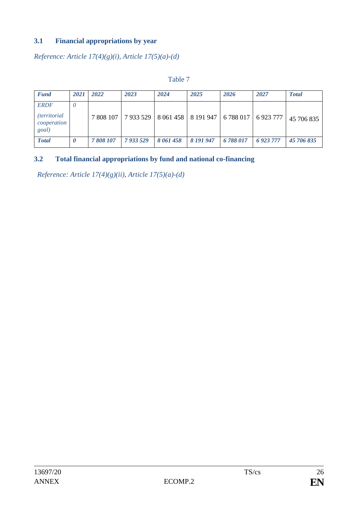# **3.1 Financial appropriations by year**

*Reference: Article 17(4)(g)(i), Article 17(5)(a)-(d)*

| <b>Fund</b>                                                 | 2021   | 2022      | 2023      | 2024                                          | 2025      | 2026    | 2027         | <b>Total</b> |
|-------------------------------------------------------------|--------|-----------|-----------|-----------------------------------------------|-----------|---------|--------------|--------------|
| <b>ERDF</b><br><i>(territorial)</i><br>cooperation<br>goal) | $\cup$ | 7 808 107 |           | 7 933 529   8 061 458   8 191 947   6 788 017 |           |         | 6923777      | 45 706 835   |
| <b>Total</b>                                                | 0      | 7808107   | 7 933 529 | 8 061 458                                     | 8 191 947 | 6788017 | 6 9 23 7 7 7 | 45 706 835   |

### Table 7

# **3.2 Total financial appropriations by fund and national co-financing**

*Reference: Article 17(4)(g)(ii), Article 17(5)(a)-(d)*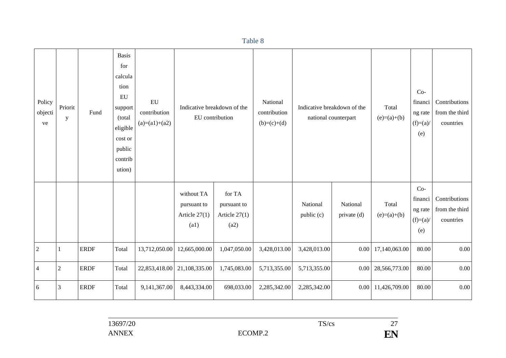Policy objecti ve Priorit y Fund Basis for calcula tion EU support (total eligible cost or public contrib ution) EU contribution  $(a)=(a1)+(a2)$ Indicative breakdown of the EU contribution National contribution  $(b)=(c)+(d)$ Indicative breakdown of the national counterpart Total  $(e)=(a)+(b)$ Cofinanci ng rate  $(f)=(a)$ (e) **Contributions** from the third countries without TA pursuant to Article 27(1) (a1) for TA pursuant to Article 27(1) (a2) National public (c) National private (d) Total  $(e)=(a)+(b)$ Cofinanci ng rate  $(f)=(a)$ (e) Contributions from the third countries 2 1 ERDF Total 13,712,050.00 12,665,000.00 1,047,050.00 3,428,013.00 3,428,013.00 0.00 17,140,063.00 80.00 0.00 4 2 ERDF Total 22,853,418.00 21,108,335.00 1,745,083.00 5,713,355.00 5,713,355.00 0.00 28,566,773.00 80.00 0.00 6  $\vert$ 3 ERDF  $\vert$ Total 9,141,367.00 8,443,334.00 698,033.00 2,285,342.00 2,285,342.00 0.00 11,426,709.00 80.00 0.00

Table 8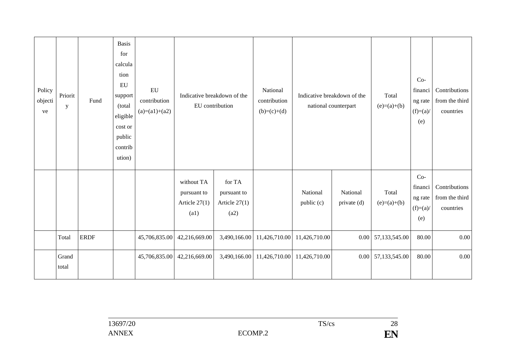| Policy<br>objecti<br>ve | Priorit<br>$\mathbf y$ | Fund        | <b>Basis</b><br>for<br>calcula<br>tion<br>EU<br>support<br>(total<br>eligible<br>cost or<br>public<br>contrib<br>ution) | ${\rm EU}$<br>contribution<br>$(a)=(a1)+(a2)$ | Indicative breakdown of the<br>EU contribution       |                                                  | National<br>contribution<br>$(b)=(c)+(d)$ | Indicative breakdown of the<br>national counterpart |                         | Total<br>$(e)=(a)+(b)$ | $Co-$<br>financi<br>ng rate<br>$(f)=(a)$<br>(e) | Contributions<br>from the third<br>countries |
|-------------------------|------------------------|-------------|-------------------------------------------------------------------------------------------------------------------------|-----------------------------------------------|------------------------------------------------------|--------------------------------------------------|-------------------------------------------|-----------------------------------------------------|-------------------------|------------------------|-------------------------------------------------|----------------------------------------------|
|                         |                        |             |                                                                                                                         |                                               | without TA<br>pursuant to<br>Article $27(1)$<br>(a1) | for TA<br>pursuant to<br>Article $27(1)$<br>(a2) |                                           | National<br>public (c)                              | National<br>private (d) | Total<br>$(e)=(a)+(b)$ | $Co-$<br>financi<br>ng rate<br>$(f)=(a)$<br>(e) | Contributions<br>from the third<br>countries |
|                         | Total                  | <b>ERDF</b> |                                                                                                                         | 45,706,835.00                                 | 42,216,669.00                                        | 3,490,166.00                                     | 11,426,710.00                             | 11,426,710.00                                       |                         | $0.00$ 57,133,545.00   | 80.00                                           | $0.00\,$                                     |
|                         | Grand<br>total         |             |                                                                                                                         | 45,706,835.00                                 | 42,216,669.00                                        | 3,490,166.00                                     | 11,426,710.00                             | 11,426,710.00                                       |                         | 0.00 57,133,545.00     | 80.00                                           | 0.00                                         |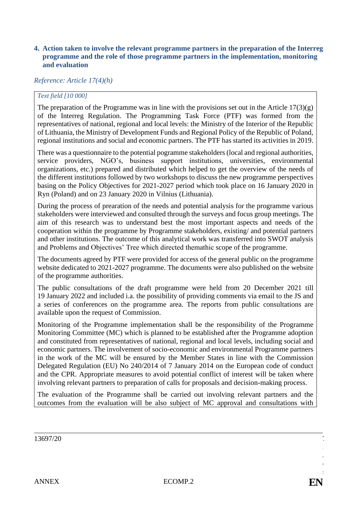#### **4. Action taken to involve the relevant programme partners in the preparation of the Interreg programme and the role of those programme partners in the implementation, monitoring and evaluation**

### *Reference: Article 17(4)(h)*

#### *Text field [10 000]*

The preparation of the Programme was in line with the provisions set out in the Article  $17(3)(g)$ of the Interreg Regulation. The Programming Task Force (PTF) was formed from the representatives of national, regional and local levels: the Ministry of the Interior of the Republic of Lithuania, the Ministry of Development Funds and Regional Policy of the Republic of Poland, regional institutions and social and economic partners. The PTF has started its activities in 2019.

There was a questionnaire to the potential pogramme stakeholders (local and regional authorities, service providers, NGO's, business support institutions, universities, environmental organizations, etc.) prepared and distributed which helped to get the overview of the needs of the different institutions followed by two workshops to discuss the new programme perspectives basing on the Policy Objectives for 2021-2027 period which took place on 16 January 2020 in Ryn (Poland) and on 23 January 2020 in Vilnius (Lithuania).

During the process of prearation of the needs and potential analysis for the programme various stakeholders were interviewed and consulted through the surveys and focus group meetings. The aim of this research was to understand best the most important aspects and needs of the cooperation within the programme by Programme stakeholders, existing/ and potential partners and other institutions. The outcome of this analytical work was transferred into SWOT analysis and Problems and Objectives' Tree which directed themathic scope of the programme.

The documents agreed by PTF were provided for access of the general public on the programme website dedicated to 2021-2027 programme. The documents were also published on the website of the programme authorities.

The public consultations of the draft programme were held from 20 December 2021 till 19 January 2022 and included i.a. the possibility of providing comments via email to the JS and a series of conferences on the programme area. The reports from public consultations are available upon the request of Commission.

Monitoring of the Programme implementation shall be the responsibility of the Programme Monitoring Committee (MC) which is planned to be established after the Programme adoption and constituted from representatives of national, regional and local levels, including social and economic partners. The involvement of socio-economic and environmental Programme partners in the work of the MC will be ensured by the Member States in line with the Commission Delegated Regulation (EU) No 240/2014 of 7 January 2014 on the European code of conduct and the CPR. Appropriate measures to avoid potential conflict of interest will be taken where involving relevant partners to preparation of calls for proposals and decision-making process.

The evaluation of the Programme shall be carried out involving relevant partners and the outcomes from the evaluation will be also subject of MC approval and consultations with

S /  $\mathbf{r}$ s

29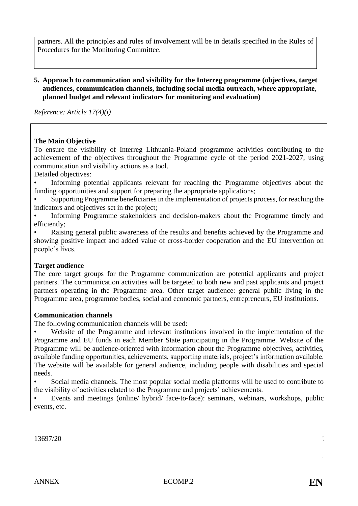partners. All the principles and rules of involvement will be in details specified in the Rules of Procedures for the Monitoring Committee.

#### **5. Approach to communication and visibility for the Interreg programme (objectives, target audiences, communication channels, including social media outreach, where appropriate, planned budget and relevant indicators for monitoring and evaluation)**

*Reference: Article 17(4)(i)*

#### **The Main Objective**

To ensure the visibility of Interreg Lithuania-Poland programme activities contributing to the achievement of the objectives throughout the Programme cycle of the period 2021-2027, using communication and visibility actions as a tool.

Detailed objectives:

• Informing potential applicants relevant for reaching the Programme objectives about the funding opportunities and support for preparing the appropriate applications;

• Supporting Programme beneficiaries in the implementation of projects process, for reaching the indicators and objectives set in the project;

• Informing Programme stakeholders and decision-makers about the Programme timely and efficiently;

• Raising general public awareness of the results and benefits achieved by the Programme and showing positive impact and added value of cross-border cooperation and the EU intervention on people's lives.

#### **Target audience**

The core target groups for the Programme communication are potential applicants and project partners. The communication activities will be targeted to both new and past applicants and project partners operating in the Programme area. Other target audience: general public living in the Programme area, programme bodies, social and economic partners, entrepreneurs, EU institutions.

#### **Communication channels**

The following communication channels will be used:

• Website of the Programme and relevant institutions involved in the implementation of the Programme and EU funds in each Member State participating in the Programme. Website of the Programme will be audience-oriented with information about the Programme objectives, activities, available funding opportunities, achievements, supporting materials, project's information available. The website will be available for general audience, including people with disabilities and special needs.

• Social media channels. The most popular social media platforms will be used to contribute to the visibility of activities related to the Programme and projects' achievements.

• Events and meetings (online/ hybrid/ face-to-face): seminars, webinars, workshops, public events, etc.

 $13697/20$ 

S /  $\mathbf{r}$ s

30)<br>300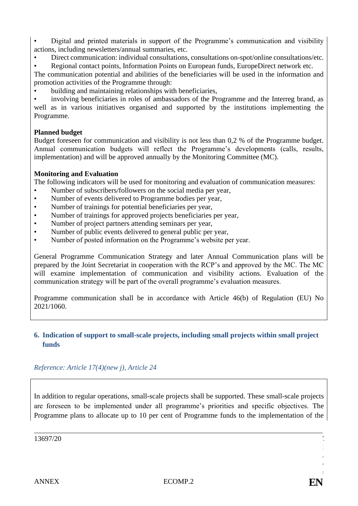• Digital and printed materials in support of the Programme's communication and visibility actions, including newsletters/annual summaries, etc.

• Direct communication: individual consultations, consultations on-spot/online consultations/etc.

• Regional contact points, Information Points on European funds, EuropeDirect network etc.

The communication potential and abilities of the beneficiaries will be used in the information and promotion activities of the Programme through:

• building and maintaining relationships with beneficiaries,

• involving beneficiaries in roles of ambassadors of the Programme and the Interreg brand, as well as in various initiatives organised and supported by the institutions implementing the Programme.

# **Planned budget**

Budget foreseen for communication and visibility is not less than 0,2 % of the Programme budget. Annual communication budgets will reflect the Programme's developments (calls, results, implementation) and will be approved annually by the Monitoring Committee (MC).

# **Monitoring and Evaluation**

The following indicators will be used for monitoring and evaluation of communication measures:

- Number of subscribers/followers on the social media per year,
- Number of events delivered to Programme bodies per year,
- Number of trainings for potential beneficiaries per year,
- Number of trainings for approved projects beneficiaries per year,
- Number of project partners attending seminars per year,
- Number of public events delivered to general public per year,
- Number of posted information on the Programme's website per year.

General Programme Communication Strategy and later Annual Communication plans will be prepared by the Joint Secretariat in cooperation with the RCP's and approved by the MC. The MC will examine implementation of communication and visibility actions. Evaluation of the communication strategy will be part of the overall programme's evaluation measures.

Programme communication shall be in accordance with Article 46(b) of Regulation (EU) No 2021/1060.

# **6. Indication of support to small-scale projects, including small projects within small project funds**

# *Reference: Article 17(4)(new j), Article 24*

In addition to regular operations, small-scale projects shall be supported. These small-scale projects are foreseen to be implemented under all programme's priorities and specific objectives. The Programme plans to allocate up to 10 per cent of Programme funds to the implementation of the

 $13697/20$ 

S /  $\mathbf{r}$ s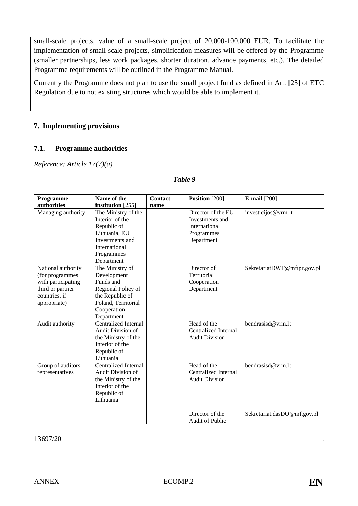small-scale projects, value of a small-scale project of 20.000-100.000 EUR. To facilitate the implementation of small-scale projects, simplification measures will be offered by the Programme (smaller partnerships, less work packages, shorter duration, advance payments, etc.). The detailed Programme requirements will be outlined in the Programme Manual.

Currently the Programme does not plan to use the small project fund as defined in Art. [25] of ETC Regulation due to not existing structures which would be able to implement it.

#### **7. Implementing provisions**

#### **7.1. Programme authorities**

*Reference: Article 17(7)(a)*

#### *Table 9*

| Programme          | Name of the                 | <b>Contact</b> | Position [200]         | <b>E-mail</b> [200]         |
|--------------------|-----------------------------|----------------|------------------------|-----------------------------|
| authorities        | institution [255]           | name           |                        |                             |
| Managing authority | The Ministry of the         |                | Director of the EU     | investicijos@vrm.lt         |
|                    | Interior of the             |                | Investments and        |                             |
|                    | Republic of                 |                | International          |                             |
|                    | Lithuania, EU               |                | Programmes             |                             |
|                    | Investments and             |                | Department             |                             |
|                    | International               |                |                        |                             |
|                    | Programmes                  |                |                        |                             |
|                    | Department                  |                |                        |                             |
| National authority | The Ministry of             |                | Director of            | SekretariatDWT@mfipr.gov.pl |
| (for programmes    | Development                 |                | Territorial            |                             |
| with participating | Funds and                   |                | Cooperation            |                             |
| third or partner   | Regional Policy of          |                | Department             |                             |
| countries, if      | the Republic of             |                |                        |                             |
| appropriate)       | Poland, Territorial         |                |                        |                             |
|                    | Cooperation                 |                |                        |                             |
|                    | Department                  |                |                        |                             |
| Audit authority    | <b>Centralized Internal</b> |                | Head of the            | bendrasisd@vrm.lt           |
|                    | Audit Division of           |                | Centralized Internal   |                             |
|                    | the Ministry of the         |                | <b>Audit Division</b>  |                             |
|                    | Interior of the             |                |                        |                             |
|                    | Republic of                 |                |                        |                             |
|                    | Lithuania                   |                |                        |                             |
| Group of auditors  | <b>Centralized Internal</b> |                | Head of the            | bendrasisd@vrm.lt           |
| representatives    | Audit Division of           |                | Centralized Internal   |                             |
|                    | the Ministry of the         |                | <b>Audit Division</b>  |                             |
|                    | Interior of the             |                |                        |                             |
|                    | Republic of                 |                |                        |                             |
|                    | Lithuania                   |                |                        |                             |
|                    |                             |                | Director of the        | Sekretariat.dasDO@mf.gov.pl |
|                    |                             |                | <b>Audit of Public</b> |                             |

 $13697/20$ 

S /  $\mathbf{I}$ s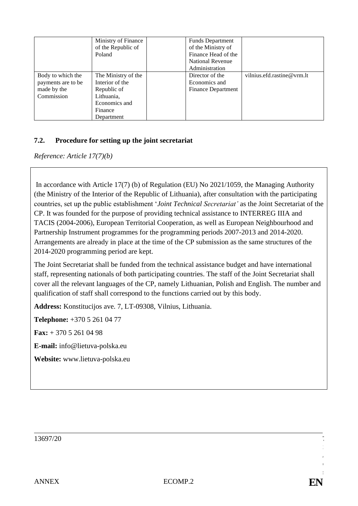|                    | Ministry of Finance |  | <b>Funds Department</b>   |                            |
|--------------------|---------------------|--|---------------------------|----------------------------|
|                    | of the Republic of  |  | of the Ministry of        |                            |
|                    | Poland              |  | Finance Head of the       |                            |
|                    |                     |  | <b>National Revenue</b>   |                            |
|                    |                     |  | Administration            |                            |
| Body to which the  | The Ministry of the |  | Director of the           | vilnius.efd.rastine@vrm.lt |
| payments are to be | Interior of the     |  | Economics and             |                            |
| made by the        | Republic of         |  | <b>Finance Department</b> |                            |
| Commission         | Lithuania,          |  |                           |                            |
|                    | Economics and       |  |                           |                            |
|                    | Finance             |  |                           |                            |
|                    | Department          |  |                           |                            |

## **7.2. Procedure for setting up the joint secretariat**

*Reference: Article 17(7)(b)*

In accordance with Article 17(7) (b) of Regulation (EU) No 2021/1059, the Managing Authority (the Ministry of the Interior of the Republic of Lithuania), after consultation with the participating countries, set up the public establishment '*Joint Technical Secretariat'* as the Joint Secretariat of the CP. It was founded for the purpose of providing technical assistance to INTERREG IIIA and TACIS (2004-2006), European Territorial Cooperation, as well as European Neighbourhood and Partnership Instrument programmes for the programming periods 2007-2013 and 2014-2020. Arrangements are already in place at the time of the CP submission as the same structures of the 2014-2020 programming period are kept.

The Joint Secretariat shall be funded from the technical assistance budget and have international staff, representing nationals of both participating countries. The staff of the Joint Secretariat shall cover all the relevant languages of the CP, namely Lithuanian, Polish and English. The number and qualification of staff shall correspond to the functions carried out by this body.

**Address:** Konstitucijos ave. 7, LT-09308, Vilnius, Lithuania.

**Telephone:** +370 5 261 04 77

**Fax:** + 370 5 261 04 98

**E-mail:** info@lietuva-polska.eu

**Website:** www.lietuva-polska.eu

 $13697/20$ 

S /  $\mathbf{r}$ s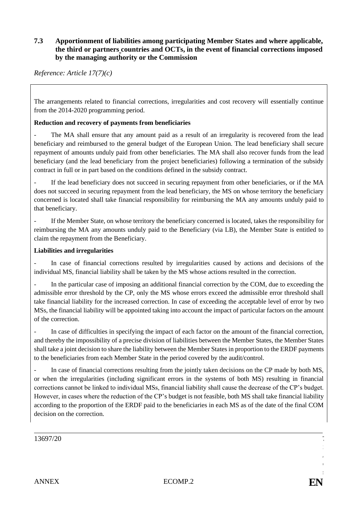### **7.3 Apportionment of liabilities among participating Member States and where applicable, the third or partners countries and OCTs, in the event of financial corrections imposed by the managing authority or the Commission**

*Reference: Article 17(7)(c)*

The arrangements related to financial corrections, irregularities and cost recovery will essentially continue from the 2014-2020 programming period.

#### **Reduction and recovery of payments from beneficiaries**

The MA shall ensure that any amount paid as a result of an irregularity is recovered from the lead beneficiary and reimbursed to the general budget of the European Union. The lead beneficiary shall secure repayment of amounts unduly paid from other beneficiaries. The MA shall also recover funds from the lead beneficiary (and the lead beneficiary from the project beneficiaries) following a termination of the subsidy contract in full or in part based on the conditions defined in the subsidy contract.

If the lead beneficiary does not succeed in securing repayment from other beneficiaries, or if the MA does not succeed in securing repayment from the lead beneficiary, the MS on whose territory the beneficiary concerned is located shall take financial responsibility for reimbursing the MA any amounts unduly paid to that beneficiary.

If the Member State, on whose territory the beneficiary concerned is located, takes the responsibility for reimbursing the MA any amounts unduly paid to the Beneficiary (via LB), the Member State is entitled to claim the repayment from the Beneficiary.

#### **Liabilities and irregularities**

In case of financial corrections resulted by irregularities caused by actions and decisions of the individual MS, financial liability shall be taken by the MS whose actions resulted in the correction.

In the particular case of imposing an additional financial correction by the COM, due to exceeding the admissible error threshold by the CP, only the MS whose errors exceed the admissible error threshold shall take financial liability for the increased correction. In case of exceeding the acceptable level of error by two MSs, the financial liability will be appointed taking into account the impact of particular factors on the amount of the correction.

In case of difficulties in specifying the impact of each factor on the amount of the financial correction, and thereby the impossibility of a precise division of liabilities between the Member States, the Member States shall take a joint decision to share the liability between the Member States in proportion to the ERDF payments to the beneficiaries from each Member State in the period covered by the audit/control.

In case of financial corrections resulting from the jointly taken decisions on the CP made by both MS, or when the irregularities (including significant errors in the systems of both MS) resulting in financial corrections cannot be linked to individual MSs, financial liability shall cause the decrease of the CP's budget. However, in cases where the reduction of the CP's budget is not feasible, both MS shall take financial liability according to the proportion of the ERDF paid to the beneficiaries in each MS as of the date of the final COM decision on the correction.

 $13697/20$ 

S /  $\mathbf{r}$ s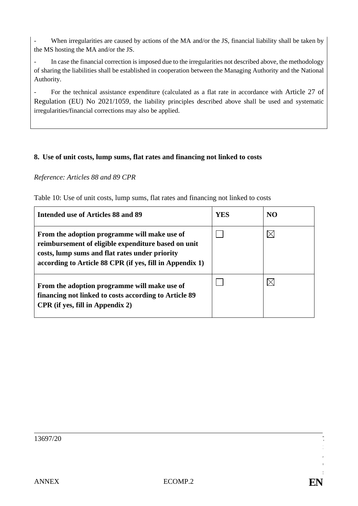When irregularities are caused by actions of the MA and/or the JS, financial liability shall be taken by the MS hosting the MA and/or the JS.

- In case the financial correction is imposed due to the irregularities not described above, the methodology of sharing the liabilities shall be established in cooperation between the Managing Authority and the National Authority.

- For the technical assistance expenditure (calculated as a flat rate in accordance with Article 27 of Regulation (EU) No 2021/1059, the liability principles described above shall be used and systematic irregularities/financial corrections may also be applied.

### **8. Use of unit costs, lump sums, flat rates and financing not linked to costs**

### *Reference: Articles 88 and 89 CPR*

Table 10: Use of unit costs, lump sums, flat rates and financing not linked to costs

| Intended use of Articles 88 and 89                                                                                                                                                                                | YES | N <sub>O</sub> |
|-------------------------------------------------------------------------------------------------------------------------------------------------------------------------------------------------------------------|-----|----------------|
| From the adoption programme will make use of<br>reimbursement of eligible expenditure based on unit<br>costs, lump sums and flat rates under priority<br>according to Article 88 CPR (if yes, fill in Appendix 1) |     |                |
| From the adoption programme will make use of<br>financing not linked to costs according to Article 89<br>CPR (if yes, fill in Appendix 2)                                                                         |     |                |

S /  $\mathbf{I}$ s

35